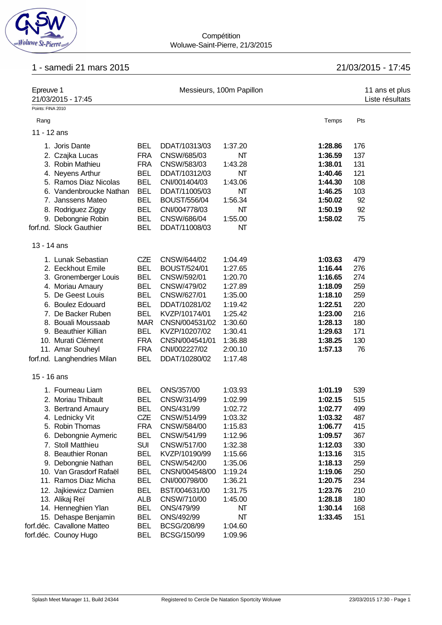

#### **Compétition** Woluwe-Saint-Pierre, 21/3/2015

# 1 - samedi 21 mars 2015 21/03/2015 - 17:45

| Epreuve 1<br>21/03/2015 - 17:45 |                             |            |                     | Messieurs, 100m Papillon |         | 11 ans et plus<br>Liste résultats |
|---------------------------------|-----------------------------|------------|---------------------|--------------------------|---------|-----------------------------------|
| Points: FINA 2010               |                             |            |                     |                          |         |                                   |
| Rang                            |                             |            |                     |                          | Temps   | Pts                               |
| 11 - 12 ans                     |                             |            |                     |                          |         |                                   |
|                                 |                             |            |                     |                          |         |                                   |
|                                 | 1. Joris Dante              | <b>BEL</b> | DDAT/10313/03       | 1:37.20                  | 1:28.86 | 176                               |
|                                 | 2. Czajka Lucas             | <b>FRA</b> | CNSW/685/03         | NΤ                       | 1:36.59 | 137                               |
|                                 | 3. Robin Mathieu            | <b>FRA</b> | CNSW/583/03         | 1:43.28                  | 1:38.01 | 131                               |
|                                 | 4. Neyens Arthur            | <b>BEL</b> | DDAT/10312/03       | NΤ                       | 1:40.46 | 121                               |
|                                 | 5. Ramos Diaz Nicolas       | <b>BEL</b> | CNI/001404/03       | 1:43.06                  | 1:44.30 | 108                               |
|                                 | 6. Vandenbroucke Nathan     | <b>BEL</b> | DDAT/11005/03       | NΤ                       | 1:46.25 | 103                               |
|                                 | 7. Janssens Mateo           | <b>BEL</b> | <b>BOUST/556/04</b> | 1:56.34                  | 1:50.02 | 92                                |
|                                 | 8. Rodriguez Ziggy          | <b>BEL</b> | CNI/004778/03       | NΤ                       | 1:50.19 | 92                                |
|                                 | 9. Debongnie Robin          | <b>BEL</b> | CNSW/686/04         | 1:55.00                  | 1:58.02 | 75                                |
|                                 | forf.nd. Slock Gauthier     | <b>BEL</b> | DDAT/11008/03       | NΤ                       |         |                                   |
| 13 - 14 ans                     |                             |            |                     |                          |         |                                   |
|                                 | 1. Lunak Sebastian          | CZE        | CNSW/644/02         | 1:04.49                  | 1:03.63 | 479                               |
|                                 | 2. Eeckhout Emile           | <b>BEL</b> | <b>BOUST/524/01</b> | 1:27.65                  | 1:16.44 | 276                               |
|                                 | 3. Gronemberger Louis       | <b>BEL</b> | CNSW/592/01         | 1:20.70                  | 1:16.65 | 274                               |
|                                 | 4. Moriau Amaury            | <b>BEL</b> | CNSW/479/02         | 1:27.89                  | 1:18.09 | 259                               |
|                                 | 5. De Geest Louis           | <b>BEL</b> | CNSW/627/01         | 1:35.00                  | 1:18.10 | 259                               |
|                                 | 6. Boulez Edouard           | <b>BEL</b> | DDAT/10281/02       | 1:19.42                  | 1:22.51 | 220                               |
|                                 | 7. De Backer Ruben          | <b>BEL</b> | KVZP/10174/01       | 1:25.42                  | 1:23.00 | 216                               |
|                                 | 8. Bouali Moussaab          | <b>MAR</b> | CNSN/004531/02      | 1:30.60                  | 1:28.13 | 180                               |
|                                 | 9. Beauthier Killian        | <b>BEL</b> | KVZP/10207/02       | 1:30.41                  | 1:29.63 | 171                               |
|                                 | 10. Murati Clément          | <b>FRA</b> | CNSN/004541/01      | 1:36.88                  | 1:38.25 | 130                               |
|                                 | 11. Amar Souheyl            | <b>FRA</b> | CNI/002227/02       | 2:00.10                  | 1:57.13 | 76                                |
|                                 | forf.nd. Langhendries Milan | <b>BEL</b> | DDAT/10280/02       | 1:17.48                  |         |                                   |
| 15 - 16 ans                     |                             |            |                     |                          |         |                                   |
|                                 | 1. Fourneau Liam            | <b>BEL</b> | ONS/357/00          | 1:03.93                  | 1:01.19 | 539                               |
|                                 | 2. Moriau Thibault          | <b>BEL</b> | CNSW/314/99         | 1:02.99                  | 1:02.15 | 515                               |
|                                 | 3. Bertrand Amaury          | <b>BEL</b> | ONS/431/99          | 1:02.72                  | 1:02.77 | 499                               |
|                                 | 4. Lednicky Vit             | CZE        | CNSW/514/99         | 1:03.32                  | 1:03.32 | 487                               |
|                                 | 5. Robin Thomas             | <b>FRA</b> | CNSW/584/00         | 1:15.83                  | 1:06.77 | 415                               |
|                                 | 6. Debongnie Aymeric        | <b>BEL</b> | CNSW/541/99         | 1:12.96                  | 1:09.57 | 367                               |
|                                 | 7. Stoll Matthieu           | <b>SUI</b> | CNSW/517/00         | 1:32.38                  | 1:12.03 | 330                               |
|                                 | 8. Beauthier Ronan          | <b>BEL</b> | KVZP/10190/99       | 1:15.66                  | 1:13.16 | 315                               |
|                                 | 9. Debongnie Nathan         | <b>BEL</b> | CNSW/542/00         | 1:35.06                  | 1:18.13 | 259                               |
|                                 | 10. Van Grasdorf Rafaël     | <b>BEL</b> | CNSN/004548/00      | 1:19.24                  | 1:19.06 | 250                               |
|                                 | 11. Ramos Diaz Micha        | <b>BEL</b> | CNI/000798/00       | 1:36.21                  | 1:20.75 | 234                               |
|                                 | 12. Jajkiewicz Damien       | <b>BEL</b> | BST/004631/00       | 1:31.75                  | 1:23.76 | 210                               |
|                                 | 13. Alikaj Reï              | <b>ALB</b> | CNSW/710/00         | 1:45.00                  | 1:28.18 | 180                               |
|                                 | 14. Henneghien Ylan         | <b>BEL</b> | ONS/479/99          | NΤ                       | 1:30.14 | 168                               |
|                                 | 15. Dehaspe Benjamin        | <b>BEL</b> | ONS/492/99          | NΤ                       | 1:33.45 | 151                               |
|                                 | forf.déc. Cavallone Matteo  | <b>BEL</b> | BCSG/208/99         | 1:04.60                  |         |                                   |
| forf.déc. Counoy Hugo           |                             | <b>BEL</b> | BCSG/150/99         | 1:09.96                  |         |                                   |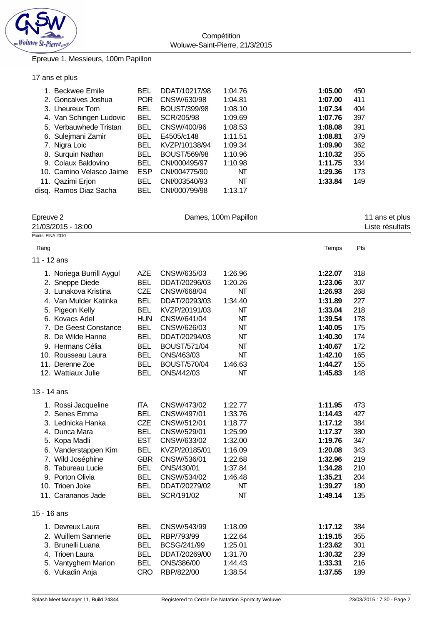

# Epreuve 1, Messieurs, 100m Papillon

## 17 ans et plus

| 1. Beckwee Emile         | <b>BEL</b> | DDAT/10217/98       | 1:04.76 | 1:05.00 | 450 |
|--------------------------|------------|---------------------|---------|---------|-----|
| 2. Goncalves Joshua      | <b>POR</b> | CNSW/630/98         | 1:04.81 | 1:07.00 | 411 |
| 3. Lheureux Tom          | BEL        | <b>BOUST/399/98</b> | 1:08.10 | 1:07.34 | 404 |
| 4. Van Schingen Ludovic  | BEL        | SCR/205/98          | 1:09.69 | 1:07.76 | 397 |
| 5. Verbauwhede Tristan   | BEL        | CNSW/400/96         | 1:08.53 | 1:08.08 | 391 |
| 6. Sulejmani Zamir       | BEL        | E4505/c148          | 1:11.51 | 1:08.81 | 379 |
| 7. Nigra Loic            | <b>BEL</b> | KVZP/10138/94       | 1:09.34 | 1:09.90 | 362 |
| 8. Surquin Nathan        | <b>BEL</b> | <b>BOUST/569/98</b> | 1:10.96 | 1:10.32 | 355 |
| 9. Colaux Baldovino      | <b>BEL</b> | CNI/000495/97       | 1:10.98 | 1:11.75 | 334 |
| 10. Camino Velasco Jaime | <b>ESP</b> | CNI/004775/90       | NT      | 1:29.36 | 173 |
| 11. Qazimi Erjon         | BEL        | CNI/003540/93       | NT      | 1:33.84 | 149 |
| disg. Ramos Diaz Sacha   | <b>BEL</b> | CNI/000799/98       | 1:13.17 |         |     |

| Epreuve 2<br>21/03/2015 - 18:00 |                                                                                                                                                                                                                                              |                                                                                                                                                        |                                                                                                                                                                                          | Dames, 100m Papillon                                                                                        | 11 ans et plus<br>Liste résultats                                                                                     |                                                                           |  |
|---------------------------------|----------------------------------------------------------------------------------------------------------------------------------------------------------------------------------------------------------------------------------------------|--------------------------------------------------------------------------------------------------------------------------------------------------------|------------------------------------------------------------------------------------------------------------------------------------------------------------------------------------------|-------------------------------------------------------------------------------------------------------------|-----------------------------------------------------------------------------------------------------------------------|---------------------------------------------------------------------------|--|
| Points: FINA 2010               |                                                                                                                                                                                                                                              |                                                                                                                                                        |                                                                                                                                                                                          |                                                                                                             |                                                                                                                       |                                                                           |  |
| Rang                            |                                                                                                                                                                                                                                              |                                                                                                                                                        |                                                                                                                                                                                          |                                                                                                             | Temps                                                                                                                 | Pts                                                                       |  |
| 11 - 12 ans                     |                                                                                                                                                                                                                                              |                                                                                                                                                        |                                                                                                                                                                                          |                                                                                                             |                                                                                                                       |                                                                           |  |
|                                 | 1. Noriega Burrill Aygul<br>2. Sneppe Diede<br>3. Lunakova Kristina<br>4. Van Mulder Katinka<br>5. Pigeon Kelly<br>6. Kovacs Adel<br>7. De Geest Constance<br>8. De Wilde Hanne<br>9. Hermans Célia<br>10. Rousseau Laura<br>11. Derenne Zoe | <b>AZE</b><br><b>BEL</b><br><b>CZE</b><br><b>BEL</b><br><b>BEL</b><br><b>HUN</b><br><b>BEL</b><br><b>BEL</b><br><b>BEL</b><br><b>BEL</b><br><b>BEL</b> | CNSW/635/03<br>DDAT/20296/03<br>CNSW/668/04<br>DDAT/20293/03<br>KVZP/20191/03<br>CNSW/641/04<br>CNSW/626/03<br>DDAT/20294/03<br><b>BOUST/571/04</b><br>ONS/463/03<br><b>BOUST/570/04</b> | 1:26.96<br>1:20.26<br>NT<br>1:34.40<br>NT<br>NT<br>NΤ<br>NΤ<br>NT<br>NT<br>1:46.63                          | 1:22.07<br>1:23.06<br>1:26.93<br>1:31.89<br>1:33.04<br>1:39.54<br>1:40.05<br>1:40.30<br>1:40.67<br>1:42.10<br>1:44.27 | 318<br>307<br>268<br>227<br>218<br>178<br>175<br>174<br>172<br>165<br>155 |  |
| 13 - 14 ans                     | 12. Wattiaux Julie                                                                                                                                                                                                                           | <b>BEL</b>                                                                                                                                             | ONS/442/03                                                                                                                                                                               | NT                                                                                                          | 1:45.83                                                                                                               | 148                                                                       |  |
|                                 | 1. Rossi Jacqueline<br>2. Senes Emma<br>3. Lednicka Hanka<br>4. Dunca Mara<br>5. Kopa Madli<br>6. Vanderstappen Kim<br>7. Wild Joséphine<br>8. Tabureau Lucie<br>9. Porton Olivia<br>10. Trioen Joke<br>11. Carananos Jade                   | <b>ITA</b><br><b>BEL</b><br><b>CZE</b><br><b>BEL</b><br><b>EST</b><br><b>BEL</b><br><b>GBR</b><br><b>BEL</b><br><b>BEL</b><br><b>BEL</b><br><b>BEL</b> | CNSW/473/02<br>CNSW/497/01<br>CNSW/512/01<br>CNSW/529/01<br>CNSW/633/02<br>KVZP/20185/01<br>CNSW/536/01<br>ONS/430/01<br>CNSW/534/02<br>DDAT/20279/02<br>SCR/191/02                      | 1:22.77<br>1:33.76<br>1:18.77<br>1:25.99<br>1:32.00<br>1:16.09<br>1:22.68<br>1:37.84<br>1:46.48<br>NT<br>NT | 1:11.95<br>1:14.43<br>1:17.12<br>1:17.37<br>1:19.76<br>1:20.08<br>1:32.96<br>1:34.28<br>1:35.21<br>1:39.27<br>1:49.14 | 473<br>427<br>384<br>380<br>347<br>343<br>219<br>210<br>204<br>180<br>135 |  |
| 15 - 16 ans                     | 1. Devreux Laura<br>2. Wuillem Sannerie<br>3. Brunelli Luana<br>4. Trioen Laura<br>5. Vantyghem Marion<br>6. Vukadin Anja                                                                                                                    | <b>BEL</b><br><b>BEL</b><br><b>BEL</b><br><b>BEL</b><br><b>BEL</b><br><b>CRO</b>                                                                       | CNSW/543/99<br>RBP/793/99<br>BCSG/241/99<br>DDAT/20269/00<br>ONS/386/00<br>RBP/822/00                                                                                                    | 1:18.09<br>1:22.64<br>1:25.01<br>1:31.70<br>1:44.43<br>1:38.54                                              | 1:17.12<br>1:19.15<br>1:23.62<br>1:30.32<br>1:33.31<br>1:37.55                                                        | 384<br>355<br>301<br>239<br>216<br>189                                    |  |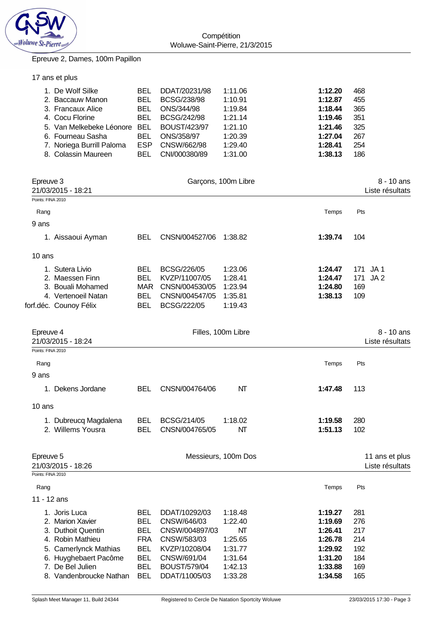

#### Epreuve 2, Dames, 100m Papillon

|  |  |  | 17 ans et plus |  |  |  |
|--|--|--|----------------|--|--|--|
|--|--|--|----------------|--|--|--|

| 1. De Wolf Silke             | BEL  | DDAT/20231/98       | 1:11.06 | 1:12.20 | 468 |
|------------------------------|------|---------------------|---------|---------|-----|
| 2. Baccauw Manon             | BEL  | <b>BCSG/238/98</b>  | 1:10.91 | 1:12.87 | 455 |
| 3. Francaux Alice            | BEL  | ONS/344/98          | 1:19.84 | 1:18.44 | 365 |
| 4. Cocu Florine              | BEL. | BCSG/242/98         | 1:21.14 | 1:19.46 | 351 |
| 5. Van Melkebeke Léonore BEL |      | <b>BOUST/423/97</b> | 1:21.10 | 1:21.46 | 325 |
| 6. Fourneau Sasha            | BEL  | ONS/358/97          | 1:20.39 | 1:27.04 | 267 |
| 7. Noriega Burrill Paloma    | ESP  | CNSW/662/98         | 1:29.40 | 1:28.41 | 254 |
| 8. Colassin Maureen          | BEL  | CNI/000380/89       | 1:31.00 | 1:38.13 | 186 |

| Epreuve 3<br>21/03/2015 - 18:21                                                                                               |                                                                                  |                                                                                               | Garçons, 100m Libre                                              |                                                                |                                        | 8 - 10 ans<br>Liste résultats     |
|-------------------------------------------------------------------------------------------------------------------------------|----------------------------------------------------------------------------------|-----------------------------------------------------------------------------------------------|------------------------------------------------------------------|----------------------------------------------------------------|----------------------------------------|-----------------------------------|
| Points: FINA 2010                                                                                                             |                                                                                  |                                                                                               |                                                                  |                                                                |                                        |                                   |
| Rang                                                                                                                          |                                                                                  |                                                                                               |                                                                  | Temps                                                          | Pts                                    |                                   |
| 9 ans                                                                                                                         |                                                                                  |                                                                                               |                                                                  |                                                                |                                        |                                   |
| 1. Aissaoui Ayman                                                                                                             | <b>BEL</b>                                                                       | CNSN/004527/06                                                                                | 1:38.82                                                          | 1:39.74                                                        | 104                                    |                                   |
| 10 ans                                                                                                                        |                                                                                  |                                                                                               |                                                                  |                                                                |                                        |                                   |
| 1. Sutera Livio<br>2. Maessen Finn<br>3. Bouali Mohamed<br>4. Vertenoeil Natan<br>forf.déc. Counoy Félix                      | <b>BEL</b><br><b>BEL</b><br>MAR<br><b>BEL</b><br><b>BEL</b>                      | BCSG/226/05<br>KVZP/11007/05<br>CNSN/004530/05<br>CNSN/004547/05<br>BCSG/222/05               | 1:23.06<br>1:28.41<br>1:23.94<br>1:35.81<br>1:19.43              | 1:24.47<br>1:24.47<br>1:24.80<br>1:38.13                       | 171 JA1<br>171<br>169<br>109           | JA <sub>2</sub>                   |
| Epreuve 4<br>21/03/2015 - 18:24                                                                                               |                                                                                  |                                                                                               | Filles, 100m Libre                                               |                                                                |                                        | 8 - 10 ans<br>Liste résultats     |
| Points: FINA 2010                                                                                                             |                                                                                  |                                                                                               |                                                                  |                                                                |                                        |                                   |
| Rang                                                                                                                          |                                                                                  |                                                                                               |                                                                  | Temps                                                          | Pts                                    |                                   |
| 9 ans                                                                                                                         |                                                                                  |                                                                                               |                                                                  |                                                                |                                        |                                   |
| 1. Dekens Jordane                                                                                                             | <b>BEL</b>                                                                       | CNSN/004764/06                                                                                | NT                                                               | 1:47.48                                                        | 113                                    |                                   |
| 10 ans                                                                                                                        |                                                                                  |                                                                                               |                                                                  |                                                                |                                        |                                   |
| 1. Dubreucq Magdalena<br>2. Willems Yousra                                                                                    | <b>BEL</b><br><b>BEL</b>                                                         | BCSG/214/05<br>CNSN/004765/05                                                                 | 1:18.02<br>NT                                                    | 1:19.58<br>1:51.13                                             | 280<br>102                             |                                   |
| Epreuve 5<br>21/03/2015 - 18:26<br>Points: FINA 2010                                                                          |                                                                                  |                                                                                               | Messieurs, 100m Dos                                              |                                                                |                                        | 11 ans et plus<br>Liste résultats |
| Rang                                                                                                                          |                                                                                  |                                                                                               |                                                                  | Temps                                                          | Pts                                    |                                   |
| 11 - 12 ans                                                                                                                   |                                                                                  |                                                                                               |                                                                  |                                                                |                                        |                                   |
| 1. Joris Luca<br>2. Marion Xavier<br>3. Duthoit Quentin<br>4. Robin Mathieu<br>5. Camerlynck Mathias<br>6. Huyghebaert Pacôme | <b>BEL</b><br><b>BEL</b><br><b>BEL</b><br><b>FRA</b><br><b>BEL</b><br><b>BEL</b> | DDAT/10292/03<br>CNSW/646/03<br>CNSW/004897/03<br>CNSW/583/03<br>KVZP/10208/04<br>CNSW/691/04 | 1:18.48<br>1:22.40<br><b>NT</b><br>1:25.65<br>1:31.77<br>1:31.64 | 1:19.27<br>1:19.69<br>1:26.41<br>1:26.78<br>1:29.92<br>1:31.20 | 281<br>276<br>217<br>214<br>192<br>184 |                                   |

7. De Bel Julien BEL BOUST/579/04 1:42.13 **1:33.88** 169 8. Vandenbroucke Nathan BEL DDAT/11005/03 1:33.28 **1:34.58** 165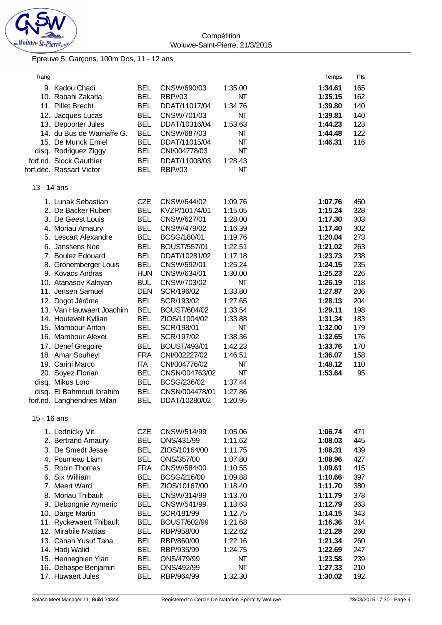

**Compétition** Woluwe-Saint-Pierre, 21/3/2015

## Epreuve 5, Garçons, 100m Dos, 11 - 12 ans

| Rang        |                                                                                                                                                                                                                                                                                                                                                                                                                                                                                                                                    |                                                                                                                                                                                                                                                                                                                                |                                                                                                                                                                                                                                                                                                                                                                                      |                                                                                                                                                                                                                                       | Temps                                                                                                                                                                                                                    | Pts                                                                                                                                     |
|-------------|------------------------------------------------------------------------------------------------------------------------------------------------------------------------------------------------------------------------------------------------------------------------------------------------------------------------------------------------------------------------------------------------------------------------------------------------------------------------------------------------------------------------------------|--------------------------------------------------------------------------------------------------------------------------------------------------------------------------------------------------------------------------------------------------------------------------------------------------------------------------------|--------------------------------------------------------------------------------------------------------------------------------------------------------------------------------------------------------------------------------------------------------------------------------------------------------------------------------------------------------------------------------------|---------------------------------------------------------------------------------------------------------------------------------------------------------------------------------------------------------------------------------------|--------------------------------------------------------------------------------------------------------------------------------------------------------------------------------------------------------------------------|-----------------------------------------------------------------------------------------------------------------------------------------|
|             | 9. Kadou Chadi<br>10. Rabahi Zakaria<br>11. Pillet Brecht<br>12. Jacques Lucas<br>13. Depoorter Jules<br>14. du Bus de Warnaffe G.                                                                                                                                                                                                                                                                                                                                                                                                 | <b>BEL</b><br><b>BEL</b><br><b>BEL</b><br><b>BEL</b><br><b>BEL</b><br><b>BEL</b>                                                                                                                                                                                                                                               | CNSW/690/03<br><b>RBP//03</b><br>DDAT/11017/04<br>CNSW/701/03<br>DDAT/10316/04<br>CNSW/687/03                                                                                                                                                                                                                                                                                        | 1:35.00<br>NΤ<br>1:34.76<br>NT<br>1:53.63<br>NT                                                                                                                                                                                       | 1:34.61<br>1:35.15<br>1:39.80<br>1:39.81<br>1:44.23<br>1:44.48                                                                                                                                                           | 165<br>162<br>140<br>140<br>123<br>122                                                                                                  |
|             | 15. De Munck Emiel<br>disq. Rodriguez Ziggy<br>forf.nd. Slock Gauthier<br>forf.déc. Rassart Victor                                                                                                                                                                                                                                                                                                                                                                                                                                 | <b>BEL</b><br><b>BEL</b><br><b>BEL</b><br><b>BEL</b>                                                                                                                                                                                                                                                                           | DDAT/11015/04<br>CNI/004778/03<br>DDAT/11008/03<br><b>RBP//03</b>                                                                                                                                                                                                                                                                                                                    | NΤ<br>NT<br>1:28.43<br>NΤ                                                                                                                                                                                                             | 1:46.31                                                                                                                                                                                                                  | 116                                                                                                                                     |
| 13 - 14 ans |                                                                                                                                                                                                                                                                                                                                                                                                                                                                                                                                    |                                                                                                                                                                                                                                                                                                                                |                                                                                                                                                                                                                                                                                                                                                                                      |                                                                                                                                                                                                                                       |                                                                                                                                                                                                                          |                                                                                                                                         |
|             | 1. Lunak Sebastian<br>2. De Backer Ruben<br>3. De Geest Louis<br>4. Moriau Amaury<br>5. Lescart Alexandre<br>6. Janssens Noe<br>7. Boulez Edouard<br>8. Gronemberger Louis<br>9. Kovacs Andras<br>10. Atanasov Kaloyan<br>11. Jensen Samuel<br>12. Dogot Jérôme<br>13. Van Hauwaert Joachim<br>14. Houtevelt Kyllian<br>15. Mambour Anton<br>16. Mambour Alexei<br>17. Denef Gregoire<br>18. Amar Souheyl<br>19. Carini Marco<br>20. Soyez Florian<br>disq. Mikus Loïc<br>disq. El Bahmouti Ibrahim<br>forf.nd. Langhendries Milan | <b>CZE</b><br><b>BEL</b><br><b>BEL</b><br><b>BEL</b><br><b>BEL</b><br><b>BEL</b><br><b>BEL</b><br><b>BEL</b><br><b>HUN</b><br><b>BUL</b><br><b>DEN</b><br><b>BEL</b><br><b>BEL</b><br><b>BEL</b><br><b>BEL</b><br><b>BEL</b><br><b>BEL</b><br><b>FRA</b><br><b>ITA</b><br><b>BEL</b><br><b>BEL</b><br><b>BEL</b><br><b>BEL</b> | CNSW/644/02<br>KVZP/10174/01<br>CNSW/627/01<br>CNSW/479/02<br>BCSG/180/01<br>BOUST/557/01<br>DDAT/10281/02<br>CNSW/592/01<br>CNSW/634/01<br>CNSW/703/02<br>SCR/196/02<br>SCR/193/02<br><b>BOUST/604/02</b><br>ZIOS/11004/02<br>SCR/198/01<br>SCR/197/02<br><b>BOUST/493/01</b><br>CNI/002227/02<br>CNI/004776/02<br>CNSN/004763/02<br>BCSG/236/02<br>CNSN/004478/01<br>DDAT/10280/02 | 1:09.76<br>1:15.05<br>1:28.00<br>1:16.39<br>1:19.76<br>1:22.51<br>1:17.18<br>1:25.24<br>1:30.00<br>NΤ<br>1:33.80<br>1:27.65<br>1:33.54<br>1:33.88<br>NΤ<br>1:38.36<br>1:42.23<br>1:46.51<br>NΤ<br>NΤ<br>1:37.44<br>1:27.86<br>1:20.95 | 1:07.76<br>1:15.24<br>1:17.30<br>1:17.40<br>1:20.04<br>1:21.02<br>1:23.73<br>1:24.15<br>1:25.23<br>1:26.19<br>1:27.87<br>1:28.13<br>1:29.11<br>1:31.34<br>1:32.00<br>1:32.65<br>1:33.76<br>1:36.07<br>1:48.12<br>1:53.64 | 450<br>328<br>303<br>302<br>273<br>263<br>238<br>235<br>226<br>218<br>206<br>204<br>198<br>183<br>179<br>176<br>170<br>158<br>110<br>95 |
| 15 - 16 ans |                                                                                                                                                                                                                                                                                                                                                                                                                                                                                                                                    |                                                                                                                                                                                                                                                                                                                                |                                                                                                                                                                                                                                                                                                                                                                                      |                                                                                                                                                                                                                                       |                                                                                                                                                                                                                          |                                                                                                                                         |
|             | 1. Lednicky Vit<br>2. Bertrand Amaury<br>3. De Smedt Jesse<br>4. Fourneau Liam<br>5. Robin Thomas<br>6. Six William<br>7. Meert Ward<br>8. Moriau Thibault<br>9. Debongnie Aymeric<br>10. Darge Martin<br>11. Ryckewaert Thibault<br>12. Mirabile Mattias<br>13. Canan Yusuf Taha<br>14. Hadj Walid                                                                                                                                                                                                                                | <b>CZE</b><br><b>BEL</b><br><b>BEL</b><br><b>BEL</b><br><b>FRA</b><br><b>BEL</b><br><b>BEL</b><br><b>BEL</b><br><b>BEL</b><br><b>BEL</b><br><b>BEL</b><br><b>BEL</b><br><b>BEL</b><br><b>BEL</b>                                                                                                                               | CNSW/514/99<br>ONS/431/99<br>ZIOS/10164/00<br>ONS/357/00<br>CNSW/584/00<br>BCSG/216/00<br>ZIOS/10167/00<br>CNSW/314/99<br>CNSW/541/99<br>SCR/181/99<br><b>BOUST/602/99</b><br>RBP/958/00<br>RBP/860/00<br>RBP/935/99                                                                                                                                                                 | 1:05.06<br>1:11.62<br>1:11.75<br>1:07.80<br>1:10.55<br>1:09.88<br>1:18.40<br>1:13.70<br>1:13.63<br>1:12.75<br>1:21.68<br>1:22.62<br>1:22.16<br>1:24.75                                                                                | 1:06.74<br>1:08.03<br>1:08.31<br>1:08.96<br>1:09.61<br>1:10.66<br>1:11.70<br>1:11.79<br>1:12.79<br>1:14.15<br>1:16.36<br>1:21.28<br>1:21.34<br>1:22.69                                                                   | 471<br>445<br>439<br>427<br>415<br>397<br>380<br>378<br>363<br>343<br>314<br>260<br>260<br>247                                          |
|             | 15. Henneghien Ylan<br>16. Dehaspe Benjamin<br>17. Huwaert Jules                                                                                                                                                                                                                                                                                                                                                                                                                                                                   | <b>BEL</b><br><b>BEL</b><br><b>BEL</b>                                                                                                                                                                                                                                                                                         | ONS/479/99<br>ONS/492/99<br>RBP/964/99                                                                                                                                                                                                                                                                                                                                               | NΤ<br>NT<br>1:32.30                                                                                                                                                                                                                   | 1:23.58<br>1:27.33<br>1:30.02                                                                                                                                                                                            | 239<br>210<br>192                                                                                                                       |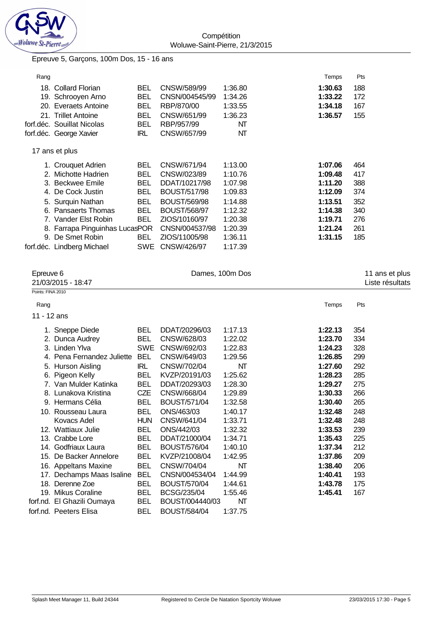

## Epreuve 5, Garçons, 100m Dos, 15 - 16 ans

| Rang |                                |            |                     |         | Temps   | Pts |
|------|--------------------------------|------------|---------------------|---------|---------|-----|
|      | 18. Collard Florian            | <b>BEL</b> | CNSW/589/99         | 1:36.80 | 1:30.63 | 188 |
|      | 19. Schrooyen Arno             | BEL        | CNSN/004545/99      | 1:34.26 | 1:33.22 | 172 |
|      | 20. Everaets Antoine           | <b>BEL</b> | RBP/870/00          | 1:33.55 | 1:34.18 | 167 |
|      | 21. Trillet Antoine            | <b>BEL</b> | CNSW/651/99         | 1:36.23 | 1:36.57 | 155 |
|      | forf.déc. Souillat Nicolas     | <b>BEL</b> | RBP/957/99          | NΤ      |         |     |
|      | forf.déc. George Xavier        | IRL        | CNSW/657/99         | NΤ      |         |     |
|      | 17 ans et plus                 |            |                     |         |         |     |
|      | 1. Crouquet Adrien             | <b>BEL</b> | CNSW/671/94         | 1:13.00 | 1:07.06 | 464 |
|      | 2. Michotte Hadrien            | <b>BEL</b> | CNSW/023/89         | 1:10.76 | 1:09.48 | 417 |
|      | 3. Beckwee Emile               | <b>BEL</b> | DDAT/10217/98       | 1:07.98 | 1:11.20 | 388 |
| 4.   | De Cock Justin                 | <b>BEL</b> | <b>BOUST/517/98</b> | 1:09.83 | 1:12.09 | 374 |
|      | 5. Surquin Nathan              | <b>BEL</b> | <b>BOUST/569/98</b> | 1:14.88 | 1:13.51 | 352 |
|      | 6. Pansaerts Thomas            | <b>BEL</b> | <b>BOUST/568/97</b> | 1:12.32 | 1:14.38 | 340 |
|      | 7. Vander Elst Robin           | <b>BEL</b> | ZIOS/10160/97       | 1:20.38 | 1:19.71 | 276 |
|      | 8. Farrapa Pinguinhas LucasPOR |            | CNSN/004537/98      | 1:20.39 | 1:21.24 | 261 |
| 9.   | De Smet Robin                  | BEL.       | ZIOS/11005/98       | 1:36.11 | 1:31.15 | 185 |
|      | forf.déc. Lindberg Michael     | SWE        | CNSW/426/97         | 1:17.39 |         |     |
|      |                                |            |                     |         |         |     |

| Epreuve 6         | Dames, 100m Dos<br>21/03/2015 - 18:47 |            |                     |         |         | 11 ans et plus<br>Liste résultats |  |
|-------------------|---------------------------------------|------------|---------------------|---------|---------|-----------------------------------|--|
| Points: FINA 2010 |                                       |            |                     |         |         |                                   |  |
| Rang              |                                       |            |                     |         | Temps   | Pts                               |  |
| 11 - 12 ans       |                                       |            |                     |         |         |                                   |  |
|                   | 1. Sneppe Diede                       | BEL        | DDAT/20296/03       | 1:17.13 | 1:22.13 | 354                               |  |
|                   | 2. Dunca Audrey                       | BEL        | CNSW/628/03         | 1:22.02 | 1:23.70 | 334                               |  |
|                   | 3. Linden Ylva                        | <b>SWE</b> | CNSW/692/03         | 1:22.83 | 1:24.23 | 328                               |  |
|                   | 4. Pena Fernandez Juliette            | <b>BEL</b> | CNSW/649/03         | 1:29.56 | 1:26.85 | 299                               |  |
|                   | 5. Hurson Aisling                     | <b>IRL</b> | CNSW/702/04         | NT      | 1:27.60 | 292                               |  |
|                   | 6. Pigeon Kelly                       | <b>BEL</b> | KVZP/20191/03       | 1:25.62 | 1:28.23 | 285                               |  |
|                   | 7. Van Mulder Katinka                 | <b>BEL</b> | DDAT/20293/03       | 1:28.30 | 1:29.27 | 275                               |  |
|                   | 8. Lunakova Kristina                  | CZE        | CNSW/668/04         | 1:29.89 | 1:30.33 | 266                               |  |
|                   | 9. Hermans Célia                      | <b>BEL</b> | BOUST/571/04        | 1:32.58 | 1:30.40 | 265                               |  |
|                   | 10. Rousseau Laura                    | <b>BEL</b> | ONS/463/03          | 1:40.17 | 1:32.48 | 248                               |  |
|                   | Kovacs Adel                           | <b>HUN</b> | CNSW/641/04         | 1:33.71 | 1:32.48 | 248                               |  |
|                   | 12. Wattiaux Julie                    | <b>BEL</b> | ONS/442/03          | 1:32.32 | 1:33.53 | 239                               |  |
|                   | 13. Crabbe Lore                       | <b>BEL</b> | DDAT/21000/04       | 1:34.71 | 1:35.43 | 225                               |  |
|                   | 14. Godfriaux Laura                   | <b>BEL</b> | BOUST/576/04        | 1:40.10 | 1:37.34 | 212                               |  |
|                   | 15. De Backer Annelore                | BEL        | KVZP/21008/04       | 1:42.95 | 1:37.86 | 209                               |  |
|                   | 16. Appeltans Maxine                  | <b>BEL</b> | CNSW/704/04         | NΤ      | 1:38.40 | 206                               |  |
|                   | 17. Dechamps Maas Isaline             | <b>BEL</b> | CNSN/004534/04      | 1:44.99 | 1:40.41 | 193                               |  |
|                   | 18. Derenne Zoe                       | <b>BEL</b> | <b>BOUST/570/04</b> | 1:44.61 | 1:43.78 | 175                               |  |
|                   | 19. Mikus Coraline                    | <b>BEL</b> | BCSG/235/04         | 1:55.46 | 1:45.41 | 167                               |  |
|                   | forf.nd. El Ghazili Oumaya            | <b>BEL</b> | BOUST/004440/03     | NΤ      |         |                                   |  |
|                   | forf.nd. Peeters Elisa                | <b>BEL</b> | <b>BOUST/584/04</b> | 1:37.75 |         |                                   |  |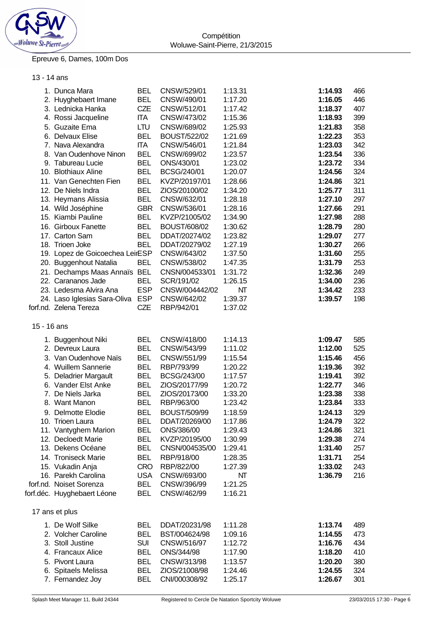

## Epreuve 6, Dames, 100m Dos

### 13 - 14 ans

|             | 1. Dunca Mara                           | <b>BEL</b> | CNSW/529/01                | 1:13.31 | 1:14.93            | 466 |
|-------------|-----------------------------------------|------------|----------------------------|---------|--------------------|-----|
|             | 2. Huyghebaert Imane                    | <b>BEL</b> | CNSW/490/01                | 1:17.20 | 1:16.05            | 446 |
|             | 3. Lednicka Hanka                       | CZE        | CNSW/512/01                | 1:17.42 | 1:18.37            | 407 |
|             | 4. Rossi Jacqueline                     | <b>ITA</b> | CNSW/473/02                | 1:15.36 | 1:18.93            | 399 |
|             | 5. Guzaite Ema                          | <b>LTU</b> | CNSW/689/02                | 1:25.93 | 1:21.83            | 358 |
|             | 6. Delvaux Elise                        | <b>BEL</b> | <b>BOUST/522/02</b>        | 1:21.69 | 1:22.23            | 353 |
|             | 7. Nava Alexandra                       | <b>ITA</b> | CNSW/546/01                | 1:21.84 | 1:23.03            | 342 |
|             | 8. Van Oudenhove Ninon                  | <b>BEL</b> | CNSW/699/02                | 1:23.57 | 1:23.54            | 336 |
|             | 9. Tabureau Lucie                       | <b>BEL</b> | ONS/430/01                 | 1:23.02 | 1:23.72            | 334 |
|             | 10. Blothiaux Aline                     | <b>BEL</b> | BCSG/240/01                | 1:20.07 | 1:24.56            | 324 |
|             | 11. Van Genechten Fien                  | <b>BEL</b> | KVZP/20197/01              | 1:28.66 | 1:24.86            | 321 |
|             | 12. De Niels Indra                      | <b>BEL</b> | ZIOS/20100/02              | 1:34.20 | 1:25.77            | 311 |
|             | 13. Heymans Alissia                     | <b>BEL</b> | CNSW/632/01                | 1:28.18 | 1:27.10            | 297 |
|             | 14. Wild Joséphine                      | <b>GBR</b> | CNSW/536/01                | 1:28.16 | 1:27.66            | 291 |
|             | 15. Kiambi Pauline                      | <b>BEL</b> | KVZP/21005/02              | 1:34.90 | 1:27.98            | 288 |
|             | 16. Girboux Fanette                     | <b>BEL</b> | BOUST/608/02               | 1:30.62 | 1:28.79            | 280 |
|             | 17. Carton Sam                          | <b>BEL</b> | DDAT/20274/02              | 1:23.82 | 1:29.07            | 277 |
|             |                                         |            |                            |         |                    | 266 |
|             | 18. Trioen Joke                         | <b>BEL</b> | DDAT/20279/02              | 1:27.19 | 1:30.27            | 255 |
|             | 19. Lopez de Goicoechea LeirESP         |            | CNSW/643/02<br>CNSW/538/02 | 1:37.50 | 1:31.60<br>1:31.79 |     |
|             | 20. Buggenhout Natalia                  | <b>BEL</b> |                            | 1:47.35 |                    | 253 |
|             | 21. Dechamps Maas Annaïs BEL            |            | CNSN/004533/01             | 1:31.72 | 1:32.36            | 249 |
|             | 22. Carananos Jade                      | <b>BEL</b> | SCR/191/02                 | 1:26.15 | 1:34.00            | 236 |
|             | 23. Ledesma Alvira Ana                  | <b>ESP</b> | CNSW/004442/02             | NT      | 1:34.42            | 233 |
|             | 24. Laso Iglesias Sara-Oliva ESP        |            | CNSW/642/02                | 1:39.37 | 1:39.57            | 198 |
|             | forf.nd. Zelena Tereza                  | CZE        | RBP/942/01                 | 1:37.02 |                    |     |
| 15 - 16 ans |                                         |            |                            |         |                    |     |
|             | 1. Buggenhout Niki                      | <b>BEL</b> | CNSW/418/00                | 1:14.13 | 1:09.47            | 585 |
|             | 2. Devreux Laura                        | <b>BEL</b> | CNSW/543/99                | 1:11.02 | 1:12.00            | 525 |
|             | 3. Van Oudenhove Naïs                   | <b>BEL</b> | CNSW/551/99                | 1:15.54 | 1:15.46            | 456 |
|             | 4. Wuillem Sannerie                     | <b>BEL</b> | RBP/793/99                 | 1:20.22 | 1:19.36            | 392 |
|             | 5. Deladrier Margault                   | <b>BEL</b> | BCSG/243/00                | 1:17.57 | 1:19.41            | 392 |
|             | 6. Vander Elst Anke                     | <b>BEL</b> | ZIOS/20177/99              | 1:20.72 | 1:22.77            | 346 |
|             | 7. De Niels Jarka                       | <b>BEL</b> | ZIOS/20173/00              | 1:33.20 | 1:23.38            | 338 |
|             | 8. Want Manon                           | <b>BEL</b> | RBP/963/00                 | 1:23.42 | 1:23.84            | 333 |
|             | 9. Delmotte Elodie                      | <b>BEL</b> | <b>BOUST/509/99</b>        | 1:18.59 | 1:24.13            | 329 |
|             | 10. Trioen Laura                        | <b>BEL</b> | DDAT/20269/00              | 1:17.86 | 1:24.79            | 322 |
|             | 11. Vantyghem Marion                    | <b>BEL</b> | ONS/386/00                 | 1:29.43 | 1:24.86            | 321 |
|             | 12. Decloedt Marie                      | <b>BEL</b> | KVZP/20195/00              | 1:30.99 | 1:29.38            | 274 |
|             | 13. Dekens Océane                       | <b>BEL</b> | CNSN/004535/00             | 1:29.41 | 1:31.40            | 257 |
|             | 14. Troniseck Marie                     | <b>BEL</b> | RBP/918/00                 | 1:28.35 | 1:31.71            | 254 |
|             |                                         | <b>CRO</b> | RBP/822/00                 | 1:27.39 | 1:33.02            | 243 |
|             | 15. Vukadin Anja<br>16. Parekh Carolina | <b>USA</b> | CNSW/693/00                | NT      | 1:36.79            | 216 |
|             | forf.nd. Noiset Sorenza                 | <b>BEL</b> |                            | 1:21.25 |                    |     |
|             |                                         |            | CNSW/396/99                | 1:16.21 |                    |     |
|             | forf.déc. Huyghebaert Léone             | <b>BEL</b> | CNSW/462/99                |         |                    |     |
|             | 17 ans et plus                          |            |                            |         |                    |     |
|             | 1. De Wolf Silke                        | BEL        | DDAT/20231/98              | 1:11.28 | 1:13.74            | 489 |
|             | 2. Volcher Caroline                     | <b>BEL</b> | BST/004624/98              | 1:09.16 | 1:14.55            | 473 |
|             | 3. Stoll Justine                        | <b>SUI</b> | CNSW/516/97                | 1:12.72 | 1:16.76            | 434 |
|             | 4. Francaux Alice                       | <b>BEL</b> | ONS/344/98                 | 1:17.90 | 1:18.20            | 410 |
|             | 5. Pivont Laura                         | <b>BEL</b> | CNSW/313/98                | 1:13.57 | 1:20.20            | 380 |
|             | 6. Spitaels Melissa                     | <b>BEL</b> | ZIOS/21008/98              | 1:24.46 | 1:24.55            | 324 |
|             | 7. Fernandez Joy                        | <b>BEL</b> | CNI/000308/92              | 1:25.17 | 1:26.67            | 301 |
|             |                                         |            |                            |         |                    |     |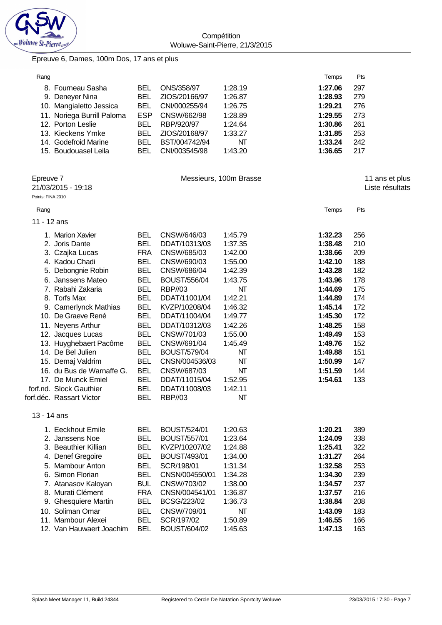

**Compétition** Woluwe-Saint-Pierre, 21/3/2015

## Epreuve 6, Dames, 100m Dos, 17 ans et plus

| Rang |                            |      |               |         | Temps   | Pts |
|------|----------------------------|------|---------------|---------|---------|-----|
|      | 8. Fourneau Sasha          | BEL  | ONS/358/97    | 1:28.19 | 1:27.06 | 297 |
|      | 9. Deneyer Nina            | BEL  | ZIOS/20166/97 | 1:26.87 | 1:28.93 | 279 |
|      | 10. Mangialetto Jessica    | BEL  | CNI/000255/94 | 1:26.75 | 1:29.21 | 276 |
|      | 11. Noriega Burrill Paloma | ESP. | CNSW/662/98   | 1:28.89 | 1:29.55 | 273 |
|      | 12. Porton Leslie          | BEL  | RBP/920/97    | 1:24.64 | 1:30.86 | 261 |
|      | 13. Kieckens Ymke          | BEL  | ZIOS/20168/97 | 1:33.27 | 1:31.85 | 253 |
|      | 14. Godefroid Marine       | BEL  | BST/004742/94 | NT      | 1:33.24 | 242 |
|      | 15. Boudouasel Leila       | BEL  | CNI/003545/98 | 1:43.20 | 1:36.65 | 217 |

| Epreuve 7<br>21/03/2015 - 19:18 |                           |            |                     | Messieurs, 100m Brasse | 11 ans et plus<br>Liste résultats |     |  |
|---------------------------------|---------------------------|------------|---------------------|------------------------|-----------------------------------|-----|--|
| Points: FINA 2010               |                           |            |                     |                        |                                   |     |  |
| Rang                            |                           |            |                     |                        | Temps                             | Pts |  |
| 11 - 12 ans                     |                           |            |                     |                        |                                   |     |  |
|                                 | 1. Marion Xavier          | <b>BEL</b> | CNSW/646/03         | 1:45.79                | 1:32.23                           | 256 |  |
|                                 | 2. Joris Dante            | <b>BEL</b> | DDAT/10313/03       | 1:37.35                | 1:38.48                           | 210 |  |
|                                 | 3. Czajka Lucas           | <b>FRA</b> | CNSW/685/03         | 1:42.00                | 1:38.66                           | 209 |  |
|                                 | 4. Kadou Chadi            | <b>BEL</b> | CNSW/690/03         | 1:55.00                | 1:42.10                           | 188 |  |
|                                 | 5. Debongnie Robin        | <b>BEL</b> | CNSW/686/04         | 1:42.39                | 1:43.28                           | 182 |  |
|                                 | 6. Janssens Mateo         | <b>BEL</b> | <b>BOUST/556/04</b> | 1:43.75                | 1:43.96                           | 178 |  |
|                                 | 7. Rabahi Zakaria         | <b>BEL</b> | <b>RBP//03</b>      | NT                     | 1:44.69                           | 175 |  |
|                                 | 8. Torfs Max              | <b>BEL</b> | DDAT/11001/04       | 1:42.21                | 1:44.89                           | 174 |  |
|                                 | 9. Camerlynck Mathias     | <b>BEL</b> | KVZP/10208/04       | 1:46.32                | 1:45.14                           | 172 |  |
|                                 | 10. De Graeve René        | <b>BEL</b> | DDAT/11004/04       | 1:49.77                | 1:45.30                           | 172 |  |
|                                 | 11. Neyens Arthur         | <b>BEL</b> | DDAT/10312/03       | 1:42.26                | 1:48.25                           | 158 |  |
|                                 | 12. Jacques Lucas         | <b>BEL</b> | CNSW/701/03         | 1:55.00                | 1:49.49                           | 153 |  |
|                                 | 13. Huyghebaert Pacôme    | <b>BEL</b> | CNSW/691/04         | 1:45.49                | 1:49.76                           | 152 |  |
|                                 | 14. De Bel Julien         | <b>BEL</b> | <b>BOUST/579/04</b> | NT                     | 1:49.88                           | 151 |  |
|                                 | 15. Demaj Valdrim         | <b>BEL</b> | CNSN/004536/03      | NT                     | 1:50.99                           | 147 |  |
|                                 | 16. du Bus de Warnaffe G. | <b>BEL</b> | CNSW/687/03         | NT                     | 1:51.59                           | 144 |  |
|                                 | 17. De Munck Emiel        | <b>BEL</b> | DDAT/11015/04       | 1:52.95                | 1:54.61                           | 133 |  |
|                                 | forf.nd. Slock Gauthier   | <b>BEL</b> | DDAT/11008/03       | 1:42.11                |                                   |     |  |
|                                 | forf.déc. Rassart Victor  | <b>BEL</b> | <b>RBP//03</b>      | NT                     |                                   |     |  |
| 13 - 14 ans                     |                           |            |                     |                        |                                   |     |  |
|                                 | 1. Eeckhout Emile         | <b>BEL</b> | <b>BOUST/524/01</b> | 1:20.63                | 1:20.21                           | 389 |  |
|                                 | 2. Janssens Noe           | <b>BEL</b> | <b>BOUST/557/01</b> | 1:23.64                | 1:24.09                           | 338 |  |
|                                 | 3. Beauthier Killian      | <b>BEL</b> | KVZP/10207/02       | 1:24.88                | 1:25.41                           | 322 |  |
|                                 | 4. Denef Gregoire         | <b>BEL</b> | BOUST/493/01        | 1:34.00                | 1:31.27                           | 264 |  |
|                                 | 5. Mambour Anton          | <b>BEL</b> | SCR/198/01          | 1:31.34                | 1:32.58                           | 253 |  |
|                                 | 6. Simon Florian          | <b>BEL</b> | CNSN/004550/01      | 1:34.28                | 1:34.30                           | 239 |  |
|                                 | 7. Atanasov Kaloyan       | <b>BUL</b> | CNSW/703/02         | 1:38.00                | 1:34.57                           | 237 |  |
|                                 | 8. Murati Clément         | <b>FRA</b> | CNSN/004541/01      | 1:36.87                | 1:37.57                           | 216 |  |
|                                 | 9. Ghesquiere Martin      | <b>BEL</b> | BCSG/223/02         | 1:36.73                | 1:38.84                           | 208 |  |
|                                 | 10. Soliman Omar          | <b>BEL</b> | CNSW/709/01         | NT                     | 1:43.09                           | 183 |  |
|                                 | 11. Mambour Alexei        | <b>BEL</b> | SCR/197/02          | 1:50.89                | 1:46.55                           | 166 |  |
|                                 | 12. Van Hauwaert Joachim  | <b>BEL</b> | <b>BOUST/604/02</b> | 1:45.63                | 1:47.13                           | 163 |  |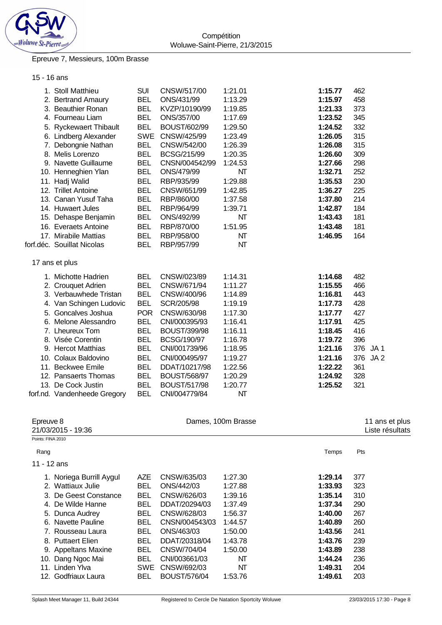

#### Epreuve 7, Messieurs, 100m Brasse

### 15 - 16 ans

| 1. Stoll Matthieu            | <b>SUI</b> | CNSW/517/00         | 1:21.01 | 1:15.77 | 462                    |
|------------------------------|------------|---------------------|---------|---------|------------------------|
| 2. Bertrand Amaury           | <b>BEL</b> | ONS/431/99          | 1:13.29 | 1:15.97 | 458                    |
| 3. Beauthier Ronan           | <b>BEL</b> | KVZP/10190/99       | 1:19.85 | 1:21.33 | 373                    |
| 4. Fourneau Liam             | <b>BEL</b> | ONS/357/00          | 1:17.69 | 1:23.52 | 345                    |
| 5. Ryckewaert Thibault       | <b>BEL</b> | <b>BOUST/602/99</b> | 1:29.50 | 1:24.52 | 332                    |
| 6. Lindberg Alexander        | <b>SWE</b> | CNSW/425/99         | 1:23.49 | 1:26.05 | 315                    |
| 7. Debongnie Nathan          | <b>BEL</b> | CNSW/542/00         | 1:26.39 | 1:26.08 | 315                    |
| 8. Melis Lorenzo             | <b>BEL</b> | BCSG/215/99         | 1:20.35 | 1:26.60 | 309                    |
| 9. Navette Guillaume         | <b>BEL</b> | CNSN/004542/99      | 1:24.53 | 1:27.66 | 298                    |
| 10. Henneghien Ylan          | <b>BEL</b> | ONS/479/99          | NT      | 1:32.71 | 252                    |
| 11. Hadj Walid               | <b>BEL</b> | RBP/935/99          | 1:29.88 | 1:35.53 | 230                    |
| 12. Trillet Antoine          | <b>BEL</b> | CNSW/651/99         | 1:42.85 | 1:36.27 | 225                    |
| 13. Canan Yusuf Taha         | <b>BEL</b> | RBP/860/00          | 1:37.58 | 1:37.80 | 214                    |
| 14. Huwaert Jules            | <b>BEL</b> | RBP/964/99          | 1:39.71 | 1:42.87 | 184                    |
| 15. Dehaspe Benjamin         | <b>BEL</b> | ONS/492/99          | NΤ      | 1:43.43 | 181                    |
| 16. Everaets Antoine         | <b>BEL</b> | RBP/870/00          | 1:51.95 | 1:43.48 | 181                    |
| 17. Mirabile Mattias         | <b>BEL</b> | RBP/958/00          | NΤ      | 1:46.95 | 164                    |
| forf.déc. Souillat Nicolas   | <b>BEL</b> | RBP/957/99          | NT      |         |                        |
| 17 ans et plus               |            |                     |         |         |                        |
| 1. Michotte Hadrien          | <b>BEL</b> | CNSW/023/89         | 1:14.31 | 1:14.68 | 482                    |
| 2. Crouquet Adrien           | <b>BEL</b> | CNSW/671/94         | 1:11.27 | 1:15.55 | 466                    |
| 3. Verbauwhede Tristan       | <b>BEL</b> | CNSW/400/96         | 1:14.89 | 1:16.81 | 443                    |
| 4. Van Schingen Ludovic      | <b>BEL</b> | SCR/205/98          | 1:19.19 | 1:17.73 | 428                    |
| 5. Goncalves Joshua          | <b>POR</b> | CNSW/630/98         | 1:17.30 | 1:17.77 | 427                    |
| 6. Melone Alessandro         | <b>BEL</b> | CNI/000395/93       | 1:16.41 | 1:17.91 | 425                    |
| 7. Lheureux Tom              | <b>BEL</b> | <b>BOUST/399/98</b> | 1:16.11 | 1:18.45 | 416                    |
| 8. Visée Corentin            | <b>BEL</b> | BCSG/190/97         | 1:16.78 | 1:19.72 | 396                    |
| 9. Hercot Matthias           | <b>BEL</b> | CNI/001739/96       | 1:18.95 | 1:21.16 | 376<br>JA1             |
| 10. Colaux Baldovino         | <b>BEL</b> | CNI/000495/97       | 1:19.27 | 1:21.16 | 376<br>JA <sub>2</sub> |
| 11. Beckwee Emile            | <b>BEL</b> | DDAT/10217/98       | 1:22.56 | 1:22.22 | 361                    |
| 12. Pansaerts Thomas         | <b>BEL</b> | <b>BOUST/568/97</b> | 1:20.29 | 1:24.92 | 328                    |
| 13. De Cock Justin           | <b>BEL</b> | <b>BOUST/517/98</b> | 1:20.77 | 1:25.52 | 321                    |
| forf.nd. Vandenheede Gregory | <b>BEL</b> | CNI/004779/84       | NΤ      |         |                        |

| Epreuve 8<br>21/03/2015 - 19:36 |            | 11 ans et plus<br>Liste résultats |         |         |     |
|---------------------------------|------------|-----------------------------------|---------|---------|-----|
| Points: FINA 2010               |            |                                   |         |         |     |
| Rang                            |            |                                   |         | Temps   | Pts |
| 11 - 12 ans                     |            |                                   |         |         |     |
| 1. Noriega Burrill Aygul        | AZE        | CNSW/635/03                       | 1:27.30 | 1:29.14 | 377 |
| 2. Wattiaux Julie               | <b>BEL</b> | ONS/442/03                        | 1:27.88 | 1:33.93 | 323 |
| 3. De Geest Constance           | <b>BEL</b> | CNSW/626/03                       | 1:39.16 | 1:35.14 | 310 |
| 4. De Wilde Hanne               | <b>BEL</b> | DDAT/20294/03                     | 1:37.49 | 1:37.34 | 290 |
| 5. Dunca Audrey                 | <b>BEL</b> | CNSW/628/03                       | 1:56.37 | 1:40.00 | 267 |
| 6. Navette Pauline              | <b>BEL</b> | CNSN/004543/03                    | 1:44.57 | 1:40.89 | 260 |
| 7. Rousseau Laura               | <b>BEL</b> | ONS/463/03                        | 1:50.00 | 1:43.56 | 241 |
| 8. Puttaert Elien               | <b>BEL</b> | DDAT/20318/04                     | 1:43.78 | 1:43.76 | 239 |
| 9. Appeltans Maxine             | <b>BEL</b> | CNSW/704/04                       | 1:50.00 | 1:43.89 | 238 |
| 10. Dang Ngoc Mai               | <b>BEL</b> | CNI/003661/03                     | NT      | 1:44.24 | 236 |
| 11. Linden Ylva                 | <b>SWE</b> | CNSW/692/03                       | NΤ      | 1:49.31 | 204 |
| 12. Godfriaux Laura             | <b>BEL</b> | <b>BOUST/576/04</b>               | 1:53.76 | 1:49.61 | 203 |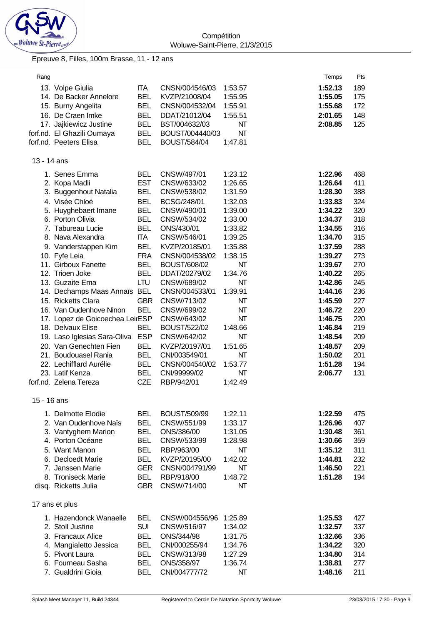

### Epreuve 8, Filles, 100m Brasse, 11 - 12 ans

| Rang        |                                                      |                          |                                    |                    | Temps              | Pts        |
|-------------|------------------------------------------------------|--------------------------|------------------------------------|--------------------|--------------------|------------|
|             | 13. Volpe Giulia<br>14. De Backer Annelore           | <b>ITA</b><br><b>BEL</b> | CNSN/004546/03<br>KVZP/21008/04    | 1:53.57<br>1:55.95 | 1:52.13<br>1:55.05 | 189<br>175 |
|             | 15. Burny Angelita                                   | <b>BEL</b>               | CNSN/004532/04                     | 1:55.91            | 1:55.68            | 172        |
|             | 16. De Craen Imke                                    | <b>BEL</b>               | DDAT/21012/04                      | 1:55.51            | 2:01.65<br>2:08.85 | 148        |
|             | 17. Jajkiewicz Justine<br>forf.nd. El Ghazili Oumaya | <b>BEL</b><br><b>BEL</b> | BST/004632/03<br>BOUST/004440/03   | NΤ<br>NΤ           |                    | 125        |
|             | forf.nd. Peeters Elisa                               | <b>BEL</b>               | <b>BOUST/584/04</b>                | 1:47.81            |                    |            |
|             |                                                      |                          |                                    |                    |                    |            |
| 13 - 14 ans |                                                      |                          |                                    |                    |                    |            |
|             | 1. Senes Emma                                        | <b>BEL</b>               | CNSW/497/01                        | 1:23.12            | 1:22.96            | 468        |
|             | 2. Kopa Madli                                        | <b>EST</b>               | CNSW/633/02                        | 1:26.65            | 1:26.64            | 411        |
|             | 3. Buggenhout Natalia                                | <b>BEL</b>               | CNSW/538/02                        | 1:31.59            | 1:28.30            | 388        |
|             | 4. Visée Chloé                                       | <b>BEL</b>               | BCSG/248/01                        | 1:32.03            | 1:33.83            | 324        |
|             | 5. Huyghebaert Imane                                 | <b>BEL</b>               | CNSW/490/01                        | 1:39.00            | 1:34.22            | 320        |
|             | 6. Porton Olivia<br>7. Tabureau Lucie                | <b>BEL</b><br><b>BEL</b> | CNSW/534/02<br>ONS/430/01          | 1:33.00<br>1:33.82 | 1:34.37<br>1:34.55 | 318<br>316 |
|             | 8. Nava Alexandra                                    | <b>ITA</b>               | CNSW/546/01                        | 1:39.25            | 1:34.70            | 315        |
|             | 9. Vanderstappen Kim                                 | <b>BEL</b>               | KVZP/20185/01                      | 1:35.88            | 1:37.59            | 288        |
|             | 10. Fyfe Leia                                        | <b>FRA</b>               | CNSN/004538/02                     | 1:38.15            | 1:39.27            | 273        |
|             | 11. Girboux Fanette                                  | <b>BEL</b>               | <b>BOUST/608/02</b>                | NT                 | 1:39.67            | 270        |
|             | 12. Trioen Joke                                      | <b>BEL</b>               | DDAT/20279/02                      | 1:34.76            | 1:40.22            | 265        |
|             | 13. Guzaite Ema                                      | <b>LTU</b>               | CNSW/689/02                        | NT                 | 1:42.86            | 245        |
|             | 14. Dechamps Maas Annaïs BEL                         |                          | CNSN/004533/01                     | 1:39.91            | 1:44.16            | 236        |
|             | 15. Ricketts Clara                                   | <b>GBR</b>               | CNSW/713/02                        | NΤ                 | 1:45.59            | 227        |
|             | 16. Van Oudenhove Ninon                              | <b>BEL</b>               | CNSW/699/02                        | NΤ                 | 1:46.72            | 220        |
|             | 17. Lopez de Goicoechea LeirESP                      |                          | CNSW/643/02                        | NT                 | 1:46.75            | 220        |
|             | 18. Delvaux Elise                                    | <b>BEL</b>               | <b>BOUST/522/02</b>                | 1:48.66            | 1:46.84            | 219        |
|             | 19. Laso Iglesias Sara-Oliva                         | <b>ESP</b>               | CNSW/642/02                        | NΤ                 | 1:48.54            | 209        |
|             | 20. Van Genechten Fien                               | BEL                      | KVZP/20197/01                      | 1:51.65            | 1:48.57            | 209        |
|             | 21. Boudouasel Rania                                 | <b>BEL</b>               | CNI/003549/01                      | NΤ                 | 1:50.02            | 201        |
|             | 22. Lechifflard Aurélie                              | <b>BEL</b>               | CNSN/004540/02                     | 1:53.77            | 1:51.28            | 194        |
|             | 23. Latif Kenza                                      | <b>BEL</b>               | CNI/99999/02                       | NΤ                 | 2:06.77            | 131        |
|             | forf.nd. Zelena Tereza                               | CZE                      | RBP/942/01                         | 1:42.49            |                    |            |
| 15 - 16 ans |                                                      |                          |                                    |                    |                    |            |
|             | 1. Delmotte Elodie                                   | <b>BEL</b><br><b>BEL</b> | <b>BOUST/509/99</b><br>CNSW/551/99 | 1:22.11            | 1:22.59            | 475<br>407 |
|             | 2. Van Oudenhove Naïs<br>3. Vantyghem Marion         | <b>BEL</b>               | ONS/386/00                         | 1:33.17<br>1:31.05 | 1:26.96<br>1:30.48 | 361        |
|             | 4. Porton Océane                                     | <b>BEL</b>               | CNSW/533/99                        | 1:28.98            | 1:30.66            | 359        |
|             | 5. Want Manon                                        | <b>BEL</b>               | RBP/963/00                         | NΤ                 | 1:35.12            | 311        |
|             | 6. Decloedt Marie                                    | <b>BEL</b>               | KVZP/20195/00                      | 1:42.02            | 1:44.81            | 232        |
|             | 7. Janssen Marie                                     | <b>GER</b>               | CNSN/004791/99                     | NT                 | 1:46.50            | 221        |
|             | 8. Troniseck Marie                                   | <b>BEL</b>               | RBP/918/00                         | 1:48.72            | 1:51.28            | 194        |
|             | disq. Ricketts Julia                                 | <b>GBR</b>               | CNSW/714/00                        | NT                 |                    |            |
|             | 17 ans et plus                                       |                          |                                    |                    |                    |            |
|             | 1. Hazendonck Wanaelle                               | <b>BEL</b>               | CNSW/004556/96                     | 1:25.89            | 1:25.53            | 427        |
|             | 2. Stoll Justine                                     | <b>SUI</b>               | CNSW/516/97                        | 1:34.02            | 1:32.57            | 337        |
|             | 3. Francaux Alice                                    | <b>BEL</b>               | ONS/344/98                         | 1:31.75            | 1:32.66            | 336        |
|             | 4. Mangialetto Jessica                               | <b>BEL</b>               | CNI/000255/94                      | 1:34.76            | 1:34.22            | 320        |
|             | 5. Pivont Laura                                      | <b>BEL</b>               | CNSW/313/98                        | 1:27.29            | 1:34.80            | 314        |
|             | 6. Fourneau Sasha                                    | <b>BEL</b>               | ONS/358/97                         | 1:36.74            | 1:38.81            | 277        |
|             | 7. Gualdrini Gioia                                   | <b>BEL</b>               | CNI/004777/72                      | NΤ                 | 1:48.16            | 211        |
|             |                                                      |                          |                                    |                    |                    |            |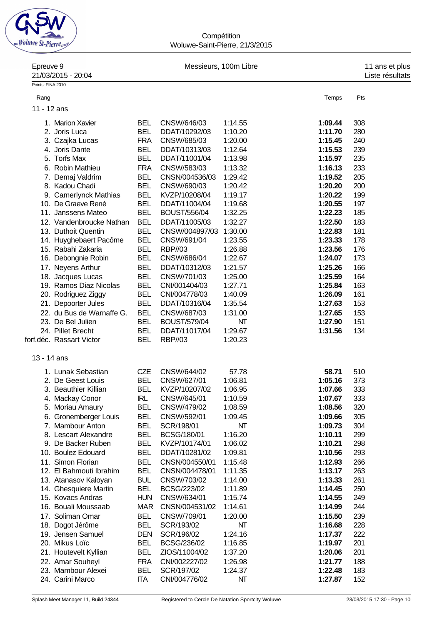

**Compétition** Woluwe-Saint-Pierre, 21/3/2015

| Epreuve 9         | 21/03/2015 - 20:04        |            |                                | Messieurs, 100m Libre |         | 11 ans et plus<br>Liste résultats |
|-------------------|---------------------------|------------|--------------------------------|-----------------------|---------|-----------------------------------|
| Points: FINA 2010 |                           |            |                                |                       |         |                                   |
| Rang              |                           |            |                                |                       | Temps   | Pts                               |
|                   |                           |            |                                |                       |         |                                   |
| 11 - 12 ans       |                           |            |                                |                       |         |                                   |
|                   | 1. Marion Xavier          | <b>BEL</b> | CNSW/646/03                    | 1:14.55               | 1:09.44 | 308                               |
|                   | 2. Joris Luca             | <b>BEL</b> | DDAT/10292/03                  | 1:10.20               | 1:11.70 | 280                               |
|                   | 3. Czajka Lucas           | <b>FRA</b> | CNSW/685/03                    | 1:20.00               | 1:15.45 | 240                               |
|                   | 4. Joris Dante            | <b>BEL</b> | DDAT/10313/03                  | 1:12.64               | 1:15.53 | 239                               |
|                   | 5. Torfs Max              | <b>BEL</b> | DDAT/11001/04                  | 1:13.98               | 1:15.97 | 235                               |
|                   | 6. Robin Mathieu          | <b>FRA</b> | CNSW/583/03                    | 1:13.32               | 1:16.13 | 233                               |
| 7.                | Demaj Valdrim             | <b>BEL</b> | CNSN/004536/03                 | 1:29.42               | 1:19.52 | 205                               |
|                   | 8. Kadou Chadi            | <b>BEL</b> | CNSW/690/03                    | 1:20.42               | 1:20.20 | 200                               |
|                   | 9. Camerlynck Mathias     | <b>BEL</b> | KVZP/10208/04                  | 1:19.17               | 1:20.22 | 199                               |
|                   | 10. De Graeve René        | <b>BEL</b> | DDAT/11004/04                  | 1:19.68               | 1:20.55 | 197                               |
|                   | 11. Janssens Mateo        | <b>BEL</b> | <b>BOUST/556/04</b>            | 1:32.25               | 1:22.23 | 185                               |
|                   | 12. Vandenbroucke Nathan  | <b>BEL</b> | DDAT/11005/03                  | 1:32.27               | 1:22.50 | 183                               |
|                   | 13. Duthoit Quentin       | <b>BEL</b> | CNSW/004897/03                 | 1:30.00               | 1:22.83 | 181                               |
|                   | 14. Huyghebaert Pacôme    | <b>BEL</b> | CNSW/691/04                    | 1:23.55               | 1:23.33 | 178                               |
|                   | 15. Rabahi Zakaria        | <b>BEL</b> | <b>RBP//03</b>                 | 1:26.88               | 1:23.56 | 176                               |
|                   | 16. Debongnie Robin       | <b>BEL</b> | CNSW/686/04                    | 1:22.67               | 1:24.07 | 173                               |
|                   | 17. Neyens Arthur         | <b>BEL</b> | DDAT/10312/03                  | 1:21.57               | 1:25.26 | 166                               |
|                   | 18. Jacques Lucas         | <b>BEL</b> | CNSW/701/03                    | 1:25.00               | 1:25.59 | 164                               |
|                   | 19. Ramos Diaz Nicolas    | <b>BEL</b> | CNI/001404/03                  | 1:27.71               | 1:25.84 | 163                               |
|                   |                           | <b>BEL</b> |                                | 1:40.09               | 1:26.09 | 161                               |
|                   | 20. Rodriguez Ziggy       | <b>BEL</b> | CNI/004778/03<br>DDAT/10316/04 |                       |         | 153                               |
|                   | 21. Depoorter Jules       |            |                                | 1:35.54               | 1:27.63 |                                   |
|                   | 22. du Bus de Warnaffe G. | <b>BEL</b> | CNSW/687/03                    | 1:31.00               | 1:27.65 | 153                               |
|                   | 23. De Bel Julien         | <b>BEL</b> | <b>BOUST/579/04</b>            | NΤ                    | 1:27.90 | 151                               |
|                   | 24. Pillet Brecht         | <b>BEL</b> | DDAT/11017/04                  | 1:29.67               | 1:31.56 | 134                               |
|                   | forf.déc. Rassart Victor  | <b>BEL</b> | RBP//03                        | 1:20.23               |         |                                   |
| 13 - 14 ans       |                           |            |                                |                       |         |                                   |
|                   | 1. Lunak Sebastian        | <b>CZE</b> | CNSW/644/02                    | 57.78                 | 58.71   | 510                               |
|                   | 2. De Geest Louis         | <b>BEL</b> | CNSW/627/01                    | 1:06.81               | 1:05.16 | 373                               |
|                   | 3. Beauthier Killian      | BEL        | KVZP/10207/02                  | 1:06.95               | 1:07.66 | 333                               |
|                   | 4. Mackay Conor           | IRL        | CNSW/645/01                    | 1:10.59               | 1:07.67 | 333                               |
|                   | 5. Moriau Amaury          | BEL        | CNSW/479/02                    | 1:08.59               | 1:08.56 | 320                               |
|                   | 6. Gronemberger Louis     | <b>BEL</b> | CNSW/592/01                    | 1:09.45               | 1:09.66 | 305                               |
|                   | 7. Mambour Anton          | <b>BEL</b> | SCR/198/01                     | NΤ                    | 1:09.73 | 304                               |
|                   | 8. Lescart Alexandre      | <b>BEL</b> | BCSG/180/01                    | 1:16.20               | 1:10.11 | 299                               |
|                   | 9. De Backer Ruben        | <b>BEL</b> | KVZP/10174/01                  | 1:06.02               | 1:10.21 | 298                               |
|                   | 10. Boulez Edouard        | <b>BEL</b> | DDAT/10281/02                  | 1:09.81               | 1:10.56 | 293                               |
|                   |                           |            |                                |                       |         |                                   |
|                   | 11. Simon Florian         | <b>BEL</b> | CNSN/004550/01                 | 1:15.48               | 1:12.93 | 266                               |
|                   | 12. El Bahmouti Ibrahim   | <b>BEL</b> | CNSN/004478/01                 | 1:11.35               | 1:13.17 | 263                               |
|                   | 13. Atanasov Kaloyan      | <b>BUL</b> | CNSW/703/02                    | 1:14.00               | 1:13.33 | 261                               |
|                   | 14. Ghesquiere Martin     | <b>BEL</b> | BCSG/223/02                    | 1:11.89               | 1:14.45 | 250                               |
|                   | 15. Kovacs Andras         | <b>HUN</b> | CNSW/634/01                    | 1:15.74               | 1:14.55 | 249                               |
|                   | 16. Bouali Moussaab       | <b>MAR</b> | CNSN/004531/02                 | 1:14.61               | 1:14.99 | 244                               |
|                   | 17. Soliman Omar          | <b>BEL</b> | CNSW/709/01                    | 1:20.00               | 1:15.50 | 239                               |
|                   | 18. Dogot Jérôme          | <b>BEL</b> | SCR/193/02                     | NT                    | 1:16.68 | 228                               |
|                   | 19. Jensen Samuel         | <b>DEN</b> | SCR/196/02                     | 1:24.16               | 1:17.37 | 222                               |
|                   | 20. Mikus Loïc            | <b>BEL</b> | BCSG/236/02                    | 1:16.85               | 1:19.97 | 201                               |
|                   | 21. Houtevelt Kyllian     | <b>BEL</b> | ZIOS/11004/02                  | 1:37.20               | 1:20.06 | 201                               |
|                   | 22. Amar Souheyl          | <b>FRA</b> | CNI/002227/02                  | 1:26.98               | 1:21.77 | 188                               |
|                   | 23. Mambour Alexei        | <b>BEL</b> | SCR/197/02                     | 1:24.37               | 1:22.48 | 183                               |
|                   | 24. Carini Marco          | <b>ITA</b> | CNI/004776/02                  | NT                    | 1:27.87 | 152                               |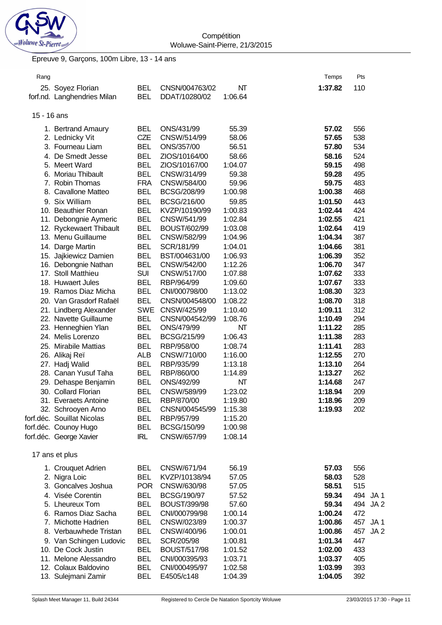

## Epreuve 9, Garçons, 100m Libre, 13 - 14 ans

| Rang        |                                            |                          |                           |                    | Temps              | Pts                    |
|-------------|--------------------------------------------|--------------------------|---------------------------|--------------------|--------------------|------------------------|
|             | 25. Soyez Florian                          | <b>BEL</b>               | CNSN/004763/02            | NT                 | 1:37.82            | 110                    |
|             | forf.nd. Langhendries Milan                | <b>BEL</b>               | DDAT/10280/02             | 1:06.64            |                    |                        |
|             |                                            |                          |                           |                    |                    |                        |
| 15 - 16 ans |                                            |                          |                           |                    |                    |                        |
|             | 1. Bertrand Amaury                         | <b>BEL</b>               | ONS/431/99                | 55.39              | 57.02              | 556                    |
|             | 2. Lednicky Vit                            | CZE                      | CNSW/514/99               | 58.06              | 57.65              | 538                    |
|             | 3. Fourneau Liam                           | <b>BEL</b>               | ONS/357/00                | 56.51              | 57.80              | 534                    |
|             | 4. De Smedt Jesse                          | <b>BEL</b>               | ZIOS/10164/00             | 58.66              | 58.16              | 524                    |
|             | 5. Meert Ward                              | <b>BEL</b>               | ZIOS/10167/00             | 1:04.07            | 59.15              | 498                    |
|             | 6. Moriau Thibault                         | <b>BEL</b>               | CNSW/314/99               | 59.38              | 59.28              | 495                    |
|             | 7. Robin Thomas                            | <b>FRA</b>               | CNSW/584/00               | 59.96              | 59.75              | 483                    |
| 8.          | <b>Cavallone Matteo</b>                    | <b>BEL</b>               | BCSG/208/99               | 1:00.98            | 1:00.38            | 468                    |
|             | 9. Six William                             | <b>BEL</b>               | BCSG/216/00               | 59.85              | 1:01.50            | 443                    |
|             | 10. Beauthier Ronan                        | <b>BEL</b>               | KVZP/10190/99             | 1:00.83            | 1:02.44            | 424                    |
|             | 11. Debongnie Aymeric                      | <b>BEL</b>               | CNSW/541/99               | 1:02.84            | 1:02.55            | 421                    |
|             | 12. Ryckewaert Thibault                    | <b>BEL</b>               | <b>BOUST/602/99</b>       | 1:03.08            | 1:02.64            | 419                    |
|             | 13. Menu Guillaume                         | <b>BEL</b>               | CNSW/582/99               | 1:04.96            | 1:04.34            | 387                    |
|             |                                            |                          |                           |                    |                    |                        |
|             | 14. Darge Martin                           | <b>BEL</b>               | SCR/181/99                | 1:04.01            | 1:04.66            | 381                    |
|             | 15. Jajkiewicz Damien                      | <b>BEL</b><br><b>BEL</b> | BST/004631/00             | 1:06.93            | 1:06.39            | 352<br>347             |
|             | 16. Debongnie Nathan<br>17. Stoll Matthieu | <b>SUI</b>               | CNSW/542/00               | 1:12.26            | 1:06.70            | 333                    |
|             | 18. Huwaert Jules                          | <b>BEL</b>               | CNSW/517/00<br>RBP/964/99 | 1:07.88<br>1:09.60 | 1:07.62<br>1:07.67 | 333                    |
|             | 19. Ramos Diaz Micha                       | <b>BEL</b>               |                           | 1:13.02            | 1:08.30            | 323                    |
|             |                                            |                          | CNI/000798/00             |                    |                    |                        |
|             | 20. Van Grasdorf Rafaël                    | <b>BEL</b>               | CNSN/004548/00            | 1:08.22            | 1:08.70            | 318                    |
|             | 21. Lindberg Alexander                     | <b>SWE</b>               | CNSW/425/99               | 1:10.40            | 1:09.11            | 312                    |
|             | 22. Navette Guillaume                      | <b>BEL</b>               | CNSN/004542/99            | 1:08.76            | 1:10.49<br>1:11.22 | 294                    |
|             | 23. Henneghien Ylan                        | <b>BEL</b>               | ONS/479/99                | NΤ                 |                    | 285<br>283             |
|             | 24. Melis Lorenzo                          | <b>BEL</b>               | BCSG/215/99               | 1:06.43            | 1:11.38            |                        |
|             | 25. Mirabile Mattias                       | <b>BEL</b>               | RBP/958/00                | 1:08.74            | 1:11.41            | 283                    |
|             | 26. Alikaj Reï                             | <b>ALB</b>               | CNSW/710/00               | 1:16.00            | 1:12.55            | 270                    |
|             | 27. Hadj Walid                             | <b>BEL</b>               | RBP/935/99                | 1:13.18            | 1:13.10            | 264                    |
|             | 28. Canan Yusuf Taha                       | <b>BEL</b>               | RBP/860/00                | 1:14.89            | 1:13.27            | 262                    |
|             | 29. Dehaspe Benjamin                       | <b>BEL</b>               | ONS/492/99                | NΤ                 | 1:14.68            | 247                    |
|             | 30. Collard Florian                        | <b>BEL</b>               | CNSW/589/99               | 1:23.02            | 1:18.94            | 209                    |
|             | 31. Everaets Antoine                       | <b>BEL</b>               | RBP/870/00                | 1:19.80            | 1:18.96            | 209                    |
|             | 32. Schrooyen Arno                         | <b>BEL</b>               | CNSN/004545/99            | 1:15.38            | 1:19.93            | 202                    |
|             | forf.déc. Souillat Nicolas                 | <b>BEL</b>               | RBP/957/99                | 1:15.20            |                    |                        |
|             | forf.déc. Counoy Hugo                      | <b>BEL</b>               | BCSG/150/99               | 1:00.98            |                    |                        |
|             | forf.déc. George Xavier                    | <b>IRL</b>               | CNSW/657/99               | 1:08.14            |                    |                        |
|             | 17 ans et plus                             |                          |                           |                    |                    |                        |
|             | 1. Crouquet Adrien                         | <b>BEL</b>               | CNSW/671/94               | 56.19              | 57.03              | 556                    |
|             | 2. Nigra Loic                              | <b>BEL</b>               | KVZP/10138/94             | 57.05              | 58.03              | 528                    |
|             | 3. Goncalves Joshua                        | <b>POR</b>               | CNSW/630/98               | 57.05              | 58.51              | 515                    |
|             | 4. Visée Corentin                          | <b>BEL</b>               | BCSG/190/97               | 57.52              | 59.34              | 494<br>JA1             |
|             | 5. Lheureux Tom                            | <b>BEL</b>               | <b>BOUST/399/98</b>       | 57.60              | 59.34              | 494<br>JA <sub>2</sub> |
|             | 6. Ramos Diaz Sacha                        | <b>BEL</b>               | CNI/000799/98             | 1:00.14            | 1:00.24            | 472                    |
|             | 7. Michotte Hadrien                        | <b>BEL</b>               | CNSW/023/89               | 1:00.37            | 1:00.86            | 457<br>JA1             |
|             | 8. Verbauwhede Tristan                     | <b>BEL</b>               | CNSW/400/96               | 1:00.01            | 1:00.86            | 457<br>JA <sub>2</sub> |
|             | 9. Van Schingen Ludovic                    | <b>BEL</b>               | SCR/205/98                | 1:00.81            | 1:01.34            | 447                    |
|             | 10. De Cock Justin                         | <b>BEL</b>               | <b>BOUST/517/98</b>       | 1:01.52            | 1:02.00            | 433                    |
|             | 11. Melone Alessandro                      | <b>BEL</b>               | CNI/000395/93             | 1:03.71            | 1:03.37            | 405                    |
|             | 12. Colaux Baldovino                       | <b>BEL</b>               | CNI/000495/97             | 1:02.58            | 1:03.99            | 393                    |
|             | 13. Sulejmani Zamir                        | <b>BEL</b>               | E4505/c148                | 1:04.39            | 1:04.05            | 392                    |
|             |                                            |                          |                           |                    |                    |                        |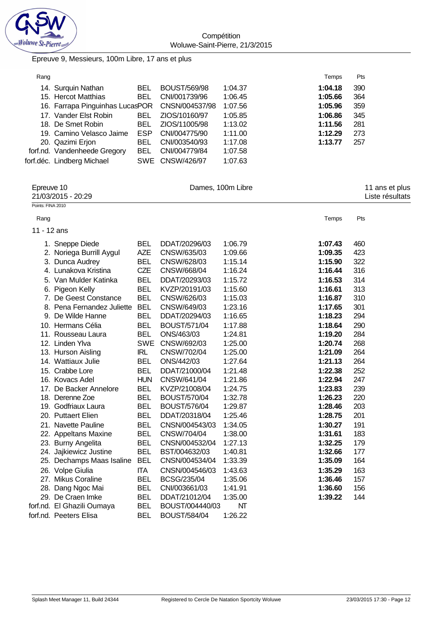

**Compétition** Woluwe-Saint-Pierre, 21/3/2015

Epreuve 9, Messieurs, 100m Libre, 17 ans et plus

| Rang       |                                 |            |                 |                   | Temps   | Pts            |  |
|------------|---------------------------------|------------|-----------------|-------------------|---------|----------------|--|
|            | 14. Surquin Nathan              | <b>BEL</b> | BOUST/569/98    | 1:04.37           | 1:04.18 | 390            |  |
|            | 15. Hercot Matthias             | <b>BEL</b> | CNI/001739/96   | 1:06.45           | 1:05.66 | 364            |  |
|            | 16. Farrapa Pinguinhas LucasPOR |            | CNSN/004537/98  | 1:07.56           | 1:05.96 | 359            |  |
|            | 17. Vander Elst Robin           | BEL.       | ZIOS/10160/97   | 1:05.85           | 1:06.86 | 345            |  |
|            | 18. De Smet Robin               | BEL.       | ZIOS/11005/98   | 1:13.02           | 1:11.56 | 281            |  |
|            | 19. Camino Velasco Jaime        | <b>ESP</b> | CNI/004775/90   | 1:11.00           | 1:12.29 | 273            |  |
|            | 20. Qazimi Erjon                | <b>BEL</b> | CNI/003540/93   | 1:17.08           | 1:13.77 | 257            |  |
|            | forf.nd. Vandenheede Gregory    | <b>BEL</b> | CNI/004779/84   | 1:07.58           |         |                |  |
|            | forf.déc. Lindberg Michael      |            | SWE CNSW/426/97 | 1:07.63           |         |                |  |
| Epreuve 10 |                                 |            |                 | Dames, 100m Libre |         | 11 ans et plus |  |

|                   | 21/03/2015 - 20:29         |            |                     |         |         | Liste résultats |
|-------------------|----------------------------|------------|---------------------|---------|---------|-----------------|
| Points: FINA 2010 |                            |            |                     |         |         |                 |
| Rang              |                            |            |                     |         | Temps   | Pts             |
| 11 - 12 ans       |                            |            |                     |         |         |                 |
|                   | 1. Sneppe Diede            | <b>BEL</b> | DDAT/20296/03       | 1:06.79 | 1:07.43 | 460             |
|                   | 2. Noriega Burrill Aygul   | <b>AZE</b> | CNSW/635/03         | 1:09.66 | 1:09.35 | 423             |
|                   | 3. Dunca Audrey            | <b>BEL</b> | CNSW/628/03         | 1:15.14 | 1:15.90 | 322             |
|                   | 4. Lunakova Kristina       | <b>CZE</b> | CNSW/668/04         | 1:16.24 | 1:16.44 | 316             |
|                   | 5. Van Mulder Katinka      | <b>BEL</b> | DDAT/20293/03       | 1:15.72 | 1:16.53 | 314             |
|                   | 6. Pigeon Kelly            | <b>BEL</b> | KVZP/20191/03       | 1:15.60 | 1:16.61 | 313             |
|                   | 7. De Geest Constance      | <b>BEL</b> | CNSW/626/03         | 1:15.03 | 1:16.87 | 310             |
|                   | 8. Pena Fernandez Juliette | <b>BEL</b> | CNSW/649/03         | 1:23.16 | 1:17.65 | 301             |
| 9.                | De Wilde Hanne             | <b>BEL</b> | DDAT/20294/03       | 1:16.65 | 1:18.23 | 294             |
|                   | 10. Hermans Célia          | <b>BEL</b> | <b>BOUST/571/04</b> | 1:17.88 | 1:18.64 | 290             |
|                   | 11. Rousseau Laura         | <b>BEL</b> | ONS/463/03          | 1:24.81 | 1:19.20 | 284             |
|                   | 12. Linden Ylva            | <b>SWE</b> | CNSW/692/03         | 1:25.00 | 1:20.74 | 268             |
|                   | 13. Hurson Aisling         | <b>IRL</b> | CNSW/702/04         | 1:25.00 | 1:21.09 | 264             |
|                   | 14. Wattiaux Julie         | <b>BEL</b> | ONS/442/03          | 1:27.64 | 1:21.13 | 264             |
|                   | 15. Crabbe Lore            | <b>BEL</b> | DDAT/21000/04       | 1:21.48 | 1:22.38 | 252             |
|                   | 16. Kovacs Adel            | <b>HUN</b> | CNSW/641/04         | 1:21.86 | 1:22.94 | 247             |
|                   | 17. De Backer Annelore     | <b>BEL</b> | KVZP/21008/04       | 1:24.75 | 1:23.83 | 239             |
|                   | 18. Derenne Zoe            | <b>BEL</b> | <b>BOUST/570/04</b> | 1:32.78 | 1:26.23 | 220             |
|                   | 19. Godfriaux Laura        | <b>BEL</b> | <b>BOUST/576/04</b> | 1:29.87 | 1:28.46 | 203             |
|                   | 20. Puttaert Elien         | <b>BEL</b> | DDAT/20318/04       | 1:25.46 | 1:28.75 | 201             |
|                   | 21. Navette Pauline        | <b>BEL</b> | CNSN/004543/03      | 1:34.05 | 1:30.27 | 191             |
|                   | 22. Appeltans Maxine       | <b>BEL</b> | CNSW/704/04         | 1:38.00 | 1:31.61 | 183             |
|                   | 23. Burny Angelita         | <b>BEL</b> | CNSN/004532/04      | 1:27.13 | 1:32.25 | 179             |
|                   | 24. Jajkiewicz Justine     | <b>BEL</b> | BST/004632/03       | 1:40.81 | 1:32.66 | 177             |
|                   | 25. Dechamps Maas Isaline  | <b>BEL</b> | CNSN/004534/04      | 1:33.39 | 1:35.09 | 164             |
|                   | 26. Volpe Giulia           | <b>ITA</b> | CNSN/004546/03      | 1:43.63 | 1:35.29 | 163             |
|                   | 27. Mikus Coraline         | <b>BEL</b> | BCSG/235/04         | 1:35.06 | 1:36.46 | 157             |
|                   | 28. Dang Ngoc Mai          | <b>BEL</b> | CNI/003661/03       | 1:41.91 | 1:36.60 | 156             |
|                   | 29. De Craen Imke          | <b>BEL</b> | DDAT/21012/04       | 1:35.00 | 1:39.22 | 144             |
|                   | forf.nd. El Ghazili Oumaya | <b>BEL</b> | BOUST/004440/03     | NΤ      |         |                 |
|                   | forf.nd. Peeters Elisa     | <b>BEL</b> | <b>BOUST/584/04</b> | 1:26.22 |         |                 |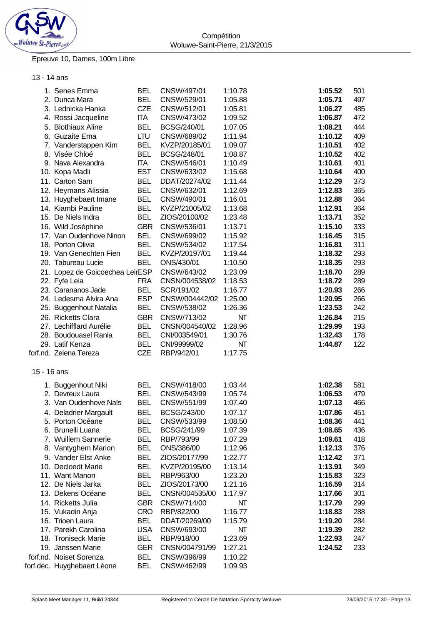

## Epreuve 10, Dames, 100m Libre

## 13 - 14 ans

|             | 1. Senes Emma                   | <b>BEL</b> | CNSW/497/01            | 1:10.78 | 1:05.52 | 501 |
|-------------|---------------------------------|------------|------------------------|---------|---------|-----|
|             | 2. Dunca Mara                   | <b>BEL</b> | CNSW/529/01            | 1:05.88 | 1:05.71 | 497 |
|             | 3. Lednicka Hanka               | CZE        | CNSW/512/01            | 1:05.81 | 1:06.27 | 485 |
|             | 4. Rossi Jacqueline             | <b>ITA</b> | CNSW/473/02            | 1:09.52 | 1:06.87 | 472 |
|             | 5. Blothiaux Aline              | <b>BEL</b> | BCSG/240/01            | 1:07.05 | 1:08.21 | 444 |
|             | 6. Guzaite Ema                  | LTU        | CNSW/689/02            | 1:11.94 | 1:10.12 | 409 |
|             | 7. Vanderstappen Kim            | <b>BEL</b> | KVZP/20185/01          | 1:09.07 | 1:10.51 | 402 |
|             | 8. Visée Chloé                  | <b>BEL</b> | BCSG/248/01            | 1:08.87 | 1:10.52 | 402 |
|             | 9. Nava Alexandra               | <b>ITA</b> | CNSW/546/01            | 1:10.49 | 1:10.61 | 401 |
|             | 10. Kopa Madli                  | <b>EST</b> | CNSW/633/02            | 1:15.68 | 1:10.64 | 400 |
|             | 11. Carton Sam                  | <b>BEL</b> | DDAT/20274/02          | 1:11.44 | 1:12.29 | 373 |
|             | 12. Heymans Alissia             | <b>BEL</b> | CNSW/632/01            | 1:12.69 | 1:12.83 | 365 |
|             |                                 | <b>BEL</b> |                        |         |         |     |
|             | 13. Huyghebaert Imane           |            | CNSW/490/01            | 1:16.01 | 1:12.88 | 364 |
|             | 14. Kiambi Pauline              | <b>BEL</b> | KVZP/21005/02          | 1:13.68 | 1:12.91 | 364 |
|             | 15. De Niels Indra              | <b>BEL</b> | ZIOS/20100/02          | 1:23.48 | 1:13.71 | 352 |
|             | 16. Wild Joséphine              | <b>GBR</b> | CNSW/536/01            | 1:13.71 | 1:15.10 | 333 |
|             | 17. Van Oudenhove Ninon         | <b>BEL</b> | CNSW/699/02            | 1:15.92 | 1:16.45 | 315 |
|             | 18. Porton Olivia               | <b>BEL</b> | CNSW/534/02            | 1:17.54 | 1:16.81 | 311 |
|             | 19. Van Genechten Fien          | <b>BEL</b> | KVZP/20197/01          | 1:19.44 | 1:18.32 | 293 |
|             | 20. Tabureau Lucie              | <b>BEL</b> | ONS/430/01             | 1:10.50 | 1:18.35 | 293 |
|             | 21. Lopez de Goicoechea LeirESP |            | CNSW/643/02            | 1:23.09 | 1:18.70 | 289 |
|             | 22. Fyfe Leia                   | <b>FRA</b> | CNSN/004538/02         | 1:18.53 | 1:18.72 | 289 |
|             | 23. Carananos Jade              | <b>BEL</b> | SCR/191/02             | 1:16.77 | 1:20.93 | 266 |
|             | 24. Ledesma Alvira Ana          | <b>ESP</b> | CNSW/004442/02 1:25.00 |         | 1:20.95 | 266 |
|             | 25. Buggenhout Natalia          | <b>BEL</b> | CNSW/538/02            | 1:26.36 | 1:23.53 | 242 |
|             | 26. Ricketts Clara              | <b>GBR</b> | CNSW/713/02            | NT      | 1:26.84 | 215 |
|             | 27. Lechifflard Aurélie         | <b>BEL</b> | CNSN/004540/02         | 1:28.96 | 1:29.99 | 193 |
|             | 28. Boudouasel Rania            | <b>BEL</b> | CNI/003549/01          | 1:30.76 | 1:32.43 | 178 |
|             | 29. Latif Kenza                 | <b>BEL</b> | CNI/99999/02           | NΤ      | 1:44.87 | 122 |
|             | forf.nd. Zelena Tereza          | CZE        | RBP/942/01             | 1:17.75 |         |     |
|             |                                 |            |                        |         |         |     |
| 15 - 16 ans |                                 |            |                        |         |         |     |
|             |                                 |            |                        |         |         |     |
|             | 1. Buggenhout Niki              | <b>BEL</b> | CNSW/418/00            | 1:03.44 | 1:02.38 | 581 |
|             | 2. Devreux Laura                | <b>BEL</b> | CNSW/543/99            | 1:05.74 | 1:06.53 | 479 |
|             | 3. Van Oudenhove Naïs           | <b>BEL</b> | CNSW/551/99            | 1:07.40 | 1:07.13 | 466 |
|             | 4. Deladrier Margault           | <b>BEL</b> | BCSG/243/00            | 1:07.17 | 1:07.86 | 451 |
|             | 5. Porton Océane                | <b>BEL</b> | CNSW/533/99            | 1:08.50 | 1:08.36 | 441 |
|             | 6. Brunelli Luana               | <b>BEL</b> | BCSG/241/99            | 1:07.39 | 1:08.65 | 436 |
|             | 7. Wuillem Sannerie             | <b>BEL</b> | RBP/793/99             | 1:07.29 | 1:09.61 | 418 |
|             | 8. Vantyghem Marion             | <b>BEL</b> | ONS/386/00             | 1:12.96 | 1:12.13 | 376 |
|             | 9. Vander Elst Anke             | <b>BEL</b> | ZIOS/20177/99          | 1:22.77 | 1:12.42 | 371 |
|             | 10. Decloedt Marie              | <b>BEL</b> | KVZP/20195/00          | 1:13.14 | 1:13.91 | 349 |
|             | 11. Want Manon                  | <b>BEL</b> | RBP/963/00             | 1:23.20 | 1:15.83 | 323 |
|             | 12. De Niels Jarka              | <b>BEL</b> | ZIOS/20173/00          | 1:21.16 | 1:16.59 | 314 |
|             | 13. Dekens Océane               | <b>BEL</b> | CNSN/004535/00         | 1:17.97 | 1:17.66 | 301 |
|             | 14. Ricketts Julia              | <b>GBR</b> | CNSW/714/00            | NΤ      | 1:17.79 | 299 |
|             | 15. Vukadin Anja                | <b>CRO</b> | RBP/822/00             | 1:16.77 | 1:18.83 | 288 |
|             | 16. Trioen Laura                | <b>BEL</b> | DDAT/20269/00          | 1:15.79 | 1:19.20 | 284 |
|             | 17. Parekh Carolina             | <b>USA</b> | CNSW/693/00            |         |         |     |
|             |                                 |            |                        | NΤ      | 1:19.39 | 282 |
|             | 18. Troniseck Marie             | <b>BEL</b> | RBP/918/00             | 1:23.69 | 1:22.93 | 247 |
|             | 19. Janssen Marie               | <b>GER</b> | CNSN/004791/99         | 1:27.21 | 1:24.52 | 233 |
|             | forf.nd. Noiset Sorenza         | <b>BEL</b> | CNSW/396/99            | 1:10.22 |         |     |
|             | forf.déc. Huyghebaert Léone     | <b>BEL</b> | CNSW/462/99            | 1:09.93 |         |     |